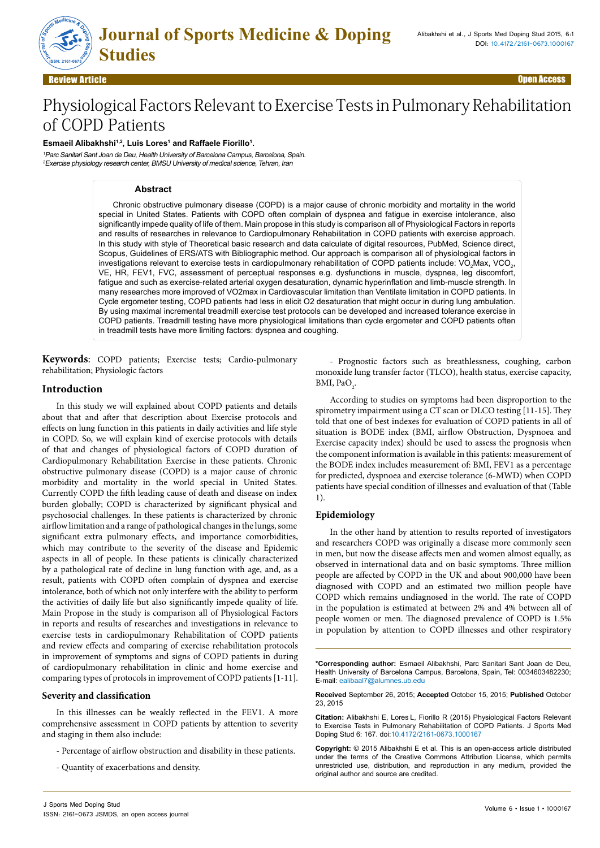

Review Article Open Access

# Physiological Factors Relevant to Exercise Tests in Pulmonary Rehabilitation of COPD Patients

## **Esmaeil Alibakhshi1,2, Luis Lores1 and Raffaele Fiorillo1 .**

<sup>1</sup> Parc Sanitari Sant Joan de Deu, Health University of Barcelona Campus, Barcelona, Spain. <sup>2</sup>Exercise physiology research center, BMSU University of medical science, Tehran, Iran

#### **Abstract**

Chronic obstructive pulmonary disease (COPD) is a major cause of chronic morbidity and mortality in the world special in United States. Patients with COPD often complain of dyspnea and fatigue in exercise intolerance, also significantly impede quality of life of them. Main propose in this study is comparison all of Physiological Factors in reports and results of researches in relevance to Cardiopulmonary Rehabilitation in COPD patients with exercise approach. In this study with style of Theoretical basic research and data calculate of digital resources, PubMed, Science direct, Scopus, Guidelines of ERS/ATS with Bibliographic method. Our approach is comparison all of physiological factors in investigations relevant to exercise tests in cardiopulmonary rehabilitation of COPD patients include: VO<sub>2</sub>Max, VCO<sub>2</sub>, VE, HR, FEV1, FVC, assessment of perceptual responses e.g. dysfunctions in muscle, dyspnea, leg discomfort, fatigue and such as exercise-related arterial oxygen desaturation, dynamic hyperinflation and limb-muscle strength. In many researches more improved of VO2max in Cardiovascular limitation than Ventilate limitation in COPD patients. In Cycle ergometer testing, COPD patients had less in elicit O2 desaturation that might occur in during lung ambulation. By using maximal incremental treadmill exercise test protocols can be developed and increased tolerance exercise in COPD patients. Treadmill testing have more physiological limitations than cycle ergometer and COPD patients often in treadmill tests have more limiting factors: dyspnea and coughing.

**Keywords**: COPD patients; Exercise tests; Cardio-pulmonary rehabilitation; Physiologic factors

# **Introduction**

In this study we will explained about COPD patients and details about that and after that description about Exercise protocols and effects on lung function in this patients in daily activities and life style in COPD. So, we will explain kind of exercise protocols with details of that and changes of physiological factors of COPD duration of Cardiopulmonary Rehabilitation Exercise in these patients. Chronic obstructive pulmonary disease (COPD) is a major cause of chronic morbidity and mortality in the world special in United States. Currently COPD the fifth leading cause of death and disease on index burden globally; COPD is characterized by significant physical and psychosocial challenges. In these patients is characterized by chronic airflow limitation and a range of pathological changes in the lungs, some significant extra pulmonary effects, and importance comorbidities, which may contribute to the severity of the disease and Epidemic aspects in all of people. In these patients is clinically characterized by a pathological rate of decline in lung function with age, and, as a result, patients with COPD often complain of dyspnea and exercise intolerance, both of which not only interfere with the ability to perform the activities of daily life but also significantly impede quality of life. Main Propose in the study is comparison all of Physiological Factors in reports and results of researches and investigations in relevance to exercise tests in cardiopulmonary Rehabilitation of COPD patients and review effects and comparing of exercise rehabilitation protocols in improvement of symptoms and signs of COPD patients in during of cardiopulmonary rehabilitation in clinic and home exercise and comparing types of protocols in improvement of COPD patients [1-11].

# **Severity and classification**

In this illnesses can be weakly reflected in the FEV1. A more comprehensive assessment in COPD patients by attention to severity and staging in them also include:

- Percentage of airflow obstruction and disability in these patients.
- Quantity of exacerbations and density.

- Prognostic factors such as breathlessness, coughing, carbon monoxide lung transfer factor (TLCO), health status, exercise capacity,  $BMI, PaO<sub>2</sub>$ .

According to studies on symptoms had been disproportion to the spirometry impairment using a CT scan or DLCO testing [11-15]. They told that one of best indexes for evaluation of COPD patients in all of situation is BODE index (BMI, airflow Obstruction, Dyspnoea and Exercise capacity index) should be used to assess the prognosis when the component information is available in this patients: measurement of the BODE index includes measurement of: BMI, FEV1 as a percentage for predicted, dyspnoea and exercise tolerance (6-MWD) when COPD patients have special condition of illnesses and evaluation of that (Table 1).

# **Epidemiology**

In the other hand by attention to results reported of investigators and researchers COPD was originally a disease more commonly seen in men, but now the disease affects men and women almost equally, as observed in international data and on basic symptoms. Three million people are affected by COPD in the UK and about 900,000 have been diagnosed with COPD and an estimated two million people have COPD which remains undiagnosed in the world. The rate of COPD in the population is estimated at between 2% and 4% between all of people women or men. The diagnosed prevalence of COPD is 1.5% in population by attention to COPD illnesses and other respiratory

**\*Corresponding author:** Esmaeil Alibakhshi, Parc Sanitari Sant Joan de Deu, Health University of Barcelona Campus, Barcelona, Spain, Tel: 0034603482230; E-mail: ealibaal7@alumnes.ub.edu

**Received** September 26, 2015; **Accepted** October 15, 2015; **Published** October 23, 2015

**Citation:** Alibakhshi E, Lores L, Fiorillo R (2015) Physiological Factors Relevant to Exercise Tests in Pulmonary Rehabilitation of COPD Patients. J Sports Med Doping Stud 6: 167. doi:10.4172/2161-0673.1000167

**Copyright:** © 2015 Alibakhshi E et al. This is an open-access article distributed under the terms of the Creative Commons Attribution License, which permits unrestricted use, distribution, and reproduction in any medium, provided the original author and source are credited.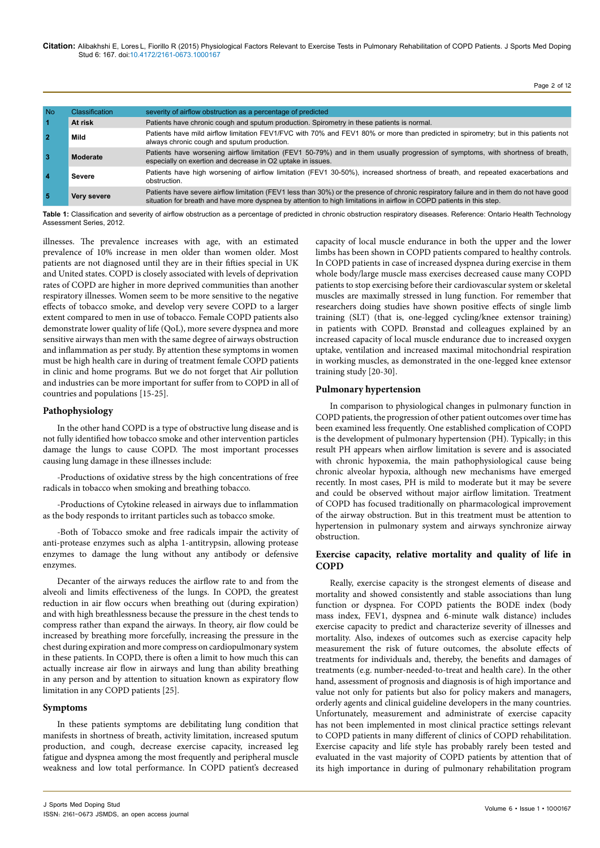**Citation:** Alibakhshi E, Lores L, Fiorillo R (2015) Physiological Factors Relevant to Exercise Tests in Pulmonary Rehabilitation of COPD Patients. J Sports Med Doping Stud 6: 167. doi:10.4172/2161-0673.1000167

| Page 2 of 12 |  |  |
|--------------|--|--|
|              |  |  |

| <b>No</b> | <b>Classification</b> | severity of airflow obstruction as a percentage of predicted                                                                                                                                                                                                      |
|-----------|-----------------------|-------------------------------------------------------------------------------------------------------------------------------------------------------------------------------------------------------------------------------------------------------------------|
|           | At risk               | Patients have chronic cough and sputum production. Spirometry in these patients is normal.                                                                                                                                                                        |
|           | Mild                  | Patients have mild airflow limitation FEV1/FVC with 70% and FEV1 80% or more than predicted in spirometry; but in this patients not<br>always chronic cough and sputum production.                                                                                |
|           | <b>Moderate</b>       | Patients have worsening airflow limitation (FEV1 50-79%) and in them usually progression of symptoms, with shortness of breath,<br>especially on exertion and decrease in O2 uptake in issues.                                                                    |
|           | <b>Severe</b>         | Patients have high worsening of airflow limitation (FEV1 30-50%), increased shortness of breath, and repeated exacerbations and<br>obstruction.                                                                                                                   |
|           | Very severe           | Patients have severe airflow limitation (FEV1 less than 30%) or the presence of chronic respiratory failure and in them do not have good<br>situation for breath and have more dyspnea by attention to high limitations in airflow in COPD patients in this step. |

**Table 1:** Classification and severity of airflow obstruction as a percentage of predicted in chronic obstruction respiratory diseases. Reference: Ontario Health Technology Assessment Series, 2012.

illnesses. The prevalence increases with age, with an estimated prevalence of 10% increase in men older than women older. Most patients are not diagnosed until they are in their fifties special in UK and United states. COPD is closely associated with levels of deprivation rates of COPD are higher in more deprived communities than another respiratory illnesses. Women seem to be more sensitive to the negative effects of tobacco smoke, and develop very severe COPD to a larger extent compared to men in use of tobacco. Female COPD patients also demonstrate lower quality of life (QoL), more severe dyspnea and more sensitive airways than men with the same degree of airways obstruction and inflammation as per study. By attention these symptoms in women must be high health care in during of treatment female COPD patients in clinic and home programs. But we do not forget that Air pollution and industries can be more important for suffer from to COPD in all of countries and populations [15-25].

# **Pathophysiology**

In the other hand COPD is a type of obstructive lung disease and is not fully identified how tobacco smoke and other intervention particles damage the lungs to cause COPD. The most important processes causing lung damage in these illnesses include:

-Productions of oxidative stress by the high concentrations of free radicals in tobacco when smoking and breathing tobacco.

-Productions of Cytokine released in airways due to inflammation as the body responds to irritant particles such as tobacco smoke.

-Both of Tobacco smoke and free radicals impair the activity of anti-protease enzymes such as alpha 1-antitrypsin, allowing protease enzymes to damage the lung without any antibody or defensive enzymes.

Decanter of the airways reduces the airflow rate to and from the [alveoli and limits effectiveness of the lungs. In COPD, the greatest](T)  reduction in air flow occurs when breathing out (during expiration) and with high breathlessness because the pressure in the chest tends to compress rather than expand the airways. In theory, air flow could be increased by breathing more forcefully, increasing the pressure in the chest during expiration and more compress on cardiopulmonary system in these patients. In COPD, there is often a limit to how much this can actually increase air flow in airways and lung than ability breathing in any person and by attention to situation known as expiratory flow limitation in any COPD patients [25].

# **Symptoms**

In these patients symptoms are debilitating lung condition that manifests in shortness of breath, activity limitation, increased sputum production, and cough, decrease exercise capacity, increased leg fatigue and dyspnea among the most frequently and peripheral muscle weakness and low total performance. In COPD patient's decreased

capacity of local muscle endurance in both the upper and the lower limbs has been shown in COPD patients compared to healthy controls. In COPD patients in case of increased dyspnea during exercise in them whole body/large muscle mass exercises decreased cause many COPD patients to stop exercising before their cardiovascular system or skeletal muscles are maximally stressed in lung function. For remember that researchers doing studies have shown positive effects of single limb training (SLT) (that is, one-legged cycling/knee extensor training) in patients with COPD. Brønstad and colleagues explained by an increased capacity of local muscle endurance due to increased oxygen uptake, ventilation and increased maximal mitochondrial respiration in working muscles, as demonstrated in the one-legged knee extensor training study [20-30].

# **Pulmonary hypertension**

In comparison to physiological changes in pulmonary function in COPD patients, the progression of other patient outcomes over time has been examined less frequently. One established complication of COPD is the development of pulmonary hypertension (PH). Typically; in this result PH appears when airflow limitation is severe and is associated with chronic hypoxemia, the main pathophysiological cause being chronic alveolar hypoxia, although new mechanisms have emerged recently. In most cases, PH is mild to moderate but it may be severe and could be observed without major airflow limitation. Treatment of COPD has focused traditionally on pharmacological improvement of the airway obstruction. But in this treatment must be attention to hypertension in pulmonary system and airways synchronize airway obstruction.

# **Exercise capacity, relative mortality and quality of life in COPD**

Really, exercise capacity is the strongest elements of disease and mortality and showed consistently and stable associations than lung function or dyspnea. For COPD patients the BODE index (body mass index, FEV1, dyspnea and 6-minute walk distance) includes exercise capacity to predict and characterize severity of illnesses and mortality. Also, indexes of outcomes such as exercise capacity help measurement the risk of future outcomes, the absolute effects of treatments for individuals and, thereby, the benefits and damages of treatments (e.g. number-needed-to-treat and health care). In the other hand, assessment of prognosis and diagnosis is of high importance and value not only for patients but also for policy makers and managers, orderly agents and clinical guideline developers in the many countries. Unfortunately, measurement and administrate of exercise capacity has not been implemented in most clinical practice settings relevant to COPD patients in many different of clinics of COPD rehabilitation. Exercise capacity and life style has probably rarely been tested and evaluated in the vast majority of COPD patients by attention that of its high importance in during of pulmonary rehabilitation program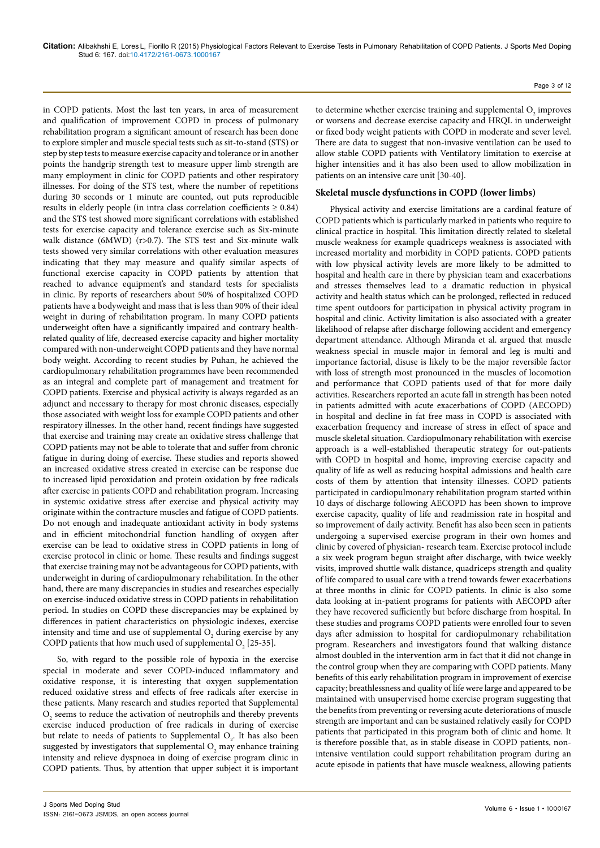in COPD patients. Most the last ten years, in area of measurement and qualification of improvement COPD in process of pulmonary rehabilitation program a significant amount of research has been done to explore simpler and muscle special tests such as sit-to-stand (STS) or step by step tests to measure exercise capacity and tolerance or in another points the handgrip strength test to measure upper limb strength are many employment in clinic for COPD patients and other respiratory illnesses. For doing of the STS test, where the number of repetitions during 30 seconds or 1 minute are counted, out puts reproducible results in elderly people (in intra class correlation coefficients  $\geq 0.84$ ) and the STS test showed more significant correlations with established tests for exercise capacity and tolerance exercise such as Six-minute walk distance (6MWD) (r>0.7). The STS test and Six-minute walk tests showed very similar correlations with other evaluation measures indicating that they may measure and qualify similar aspects of functional exercise capacity in COPD patients by attention that reached to advance equipment's and standard tests for specialists in clinic. By reports of researchers about 50% of hospitalized COPD patients have a bodyweight and mass that is less than 90% of their ideal weight in during of rehabilitation program. In many COPD patients underweight often have a significantly impaired and contrary healthrelated quality of life, decreased exercise capacity and higher mortality compared with non-underweight COPD patients and they have normal body weight. According to recent studies by Puhan, he achieved the cardiopulmonary rehabilitation programmes have been recommended as an integral and complete part of management and treatment for COPD patients. Exercise and physical activity is always regarded as an adjunct and necessary to therapy for most chronic diseases, especially those associated with weight loss for example COPD patients and other respiratory illnesses. In the other hand, recent findings have suggested that exercise and training may create an oxidative stress challenge that COPD patients may not be able to tolerate that and suffer from chronic fatigue in during doing of exercise. These studies and reports showed an increased oxidative stress created in exercise can be response due to increased lipid peroxidation and protein oxidation by free radicals after exercise in patients COPD and rehabilitation program. Increasing in systemic oxidative stress after exercise and physical activity may originate within the contracture muscles and fatigue of COPD patients. Do not enough and inadequate antioxidant activity in body systems and in efficient mitochondrial function handling of oxygen after exercise can be lead to oxidative stress in COPD patients in long of exercise protocol in clinic or home. These results and findings suggest that exercise training may not be advantageous for COPD patients, with underweight in during of cardiopulmonary rehabilitation. In the other hand, there are many discrepancies in studies and researches especially on exercise-induced oxidative stress in COPD patients in rehabilitation period. In studies on COPD these discrepancies may be explained by differences in patient characteristics on physiologic indexes, exercise intensity and time and use of supplemental  $O_2$  during exercise by any COPD patients that how much used of supplemental  $O_2$  [25-35].

So, with regard to the possible role of hypoxia in the exercise special in moderate and sever COPD-induced inflammatory and oxidative response, it is interesting that oxygen supplementation reduced oxidative stress and effects of free radicals after exercise in these patients. Many research and studies reported that Supplemental  $O_2$  seems to reduce the activation of neutrophils and thereby prevents exercise induced production of free radicals in during of exercise but relate to needs of patients to Supplemental  $O_2$ . It has also been suggested by investigators that supplemental  $\mathrm{O}_\mathrm{2}$  may enhance training intensity and relieve dyspnoea in doing of exercise program clinic in COPD patients. Thus, by attention that upper subject it is important

to determine whether exercise training and supplemental  $\mathrm{O}_2$  improves or worsens and decrease exercise capacity and HRQL in underweight or fixed body weight patients with COPD in moderate and sever level. There are data to suggest that non-invasive ventilation can be used to allow stable COPD patients with Ventilatory limitation to exercise at higher intensities and it has also been used to allow mobilization in patients on an intensive care unit [30-40].

## **Skeletal muscle dysfunctions in COPD (lower limbs)**

Physical activity and exercise limitations are a cardinal feature of COPD patients which is particularly marked in patients who require to clinical practice in hospital. This limitation directly related to skeletal muscle weakness for example quadriceps weakness is associated with increased mortality and morbidity in COPD patients. COPD patients with low physical activity levels are more likely to be admitted to hospital and health care in there by physician team and exacerbations and stresses themselves lead to a dramatic reduction in physical activity and health status which can be prolonged, reflected in reduced time spent outdoors for participation in physical activity program in hospital and clinic. Activity limitation is also associated with a greater likelihood of relapse after discharge following accident and emergency department attendance. Although Miranda et al. argued that muscle weakness special in muscle major in femoral and leg is multi and importance factorial, disuse is likely to be the major reversible factor with loss of strength most pronounced in the muscles of locomotion and performance that COPD patients used of that for more daily activities. Researchers reported an acute fall in strength has been noted in patients admitted with acute exacerbations of COPD (AECOPD) in hospital and decline in fat free mass in COPD is associated with exacerbation frequency and increase of stress in effect of space and muscle skeletal situation. Cardiopulmonary rehabilitation with exercise approach is a well-established therapeutic strategy for out-patients with COPD in hospital and home, improving exercise capacity and quality of life as well as reducing hospital admissions and health care costs of them by attention that intensity illnesses. COPD patients participated in cardiopulmonary rehabilitation program started within 10 days of discharge following AECOPD has been shown to improve exercise capacity, quality of life and readmission rate in hospital and so improvement of daily activity. Benefit has also been seen in patients undergoing a supervised exercise program in their own homes and clinic by covered of physician- research team. Exercise protocol include a six week program begun straight after discharge, with twice weekly visits, improved shuttle walk distance, quadriceps strength and quality of life compared to usual care with a trend towards fewer exacerbations at three months in clinic for COPD patients. In clinic is also some data looking at in-patient programs for patients with AECOPD after they have recovered sufficiently but before discharge from hospital. In these studies and programs COPD patients were enrolled four to seven days after admission to hospital for cardiopulmonary rehabilitation program. Researchers and investigators found that walking distance almost doubled in the intervention arm in fact that it did not change in the control group when they are comparing with COPD patients. Many benefits of this early rehabilitation program in improvement of exercise capacity; breathlessness and quality of life were large and appeared to be maintained with unsupervised home exercise program suggesting that the benefits from preventing or reversing acute deteriorations of muscle strength are important and can be sustained relatively easily for COPD patients that participated in this program both of clinic and home. It is therefore possible that, as in stable disease in COPD patients, nonintensive ventilation could support rehabilitation program during an acute episode in patients that have muscle weakness, allowing patients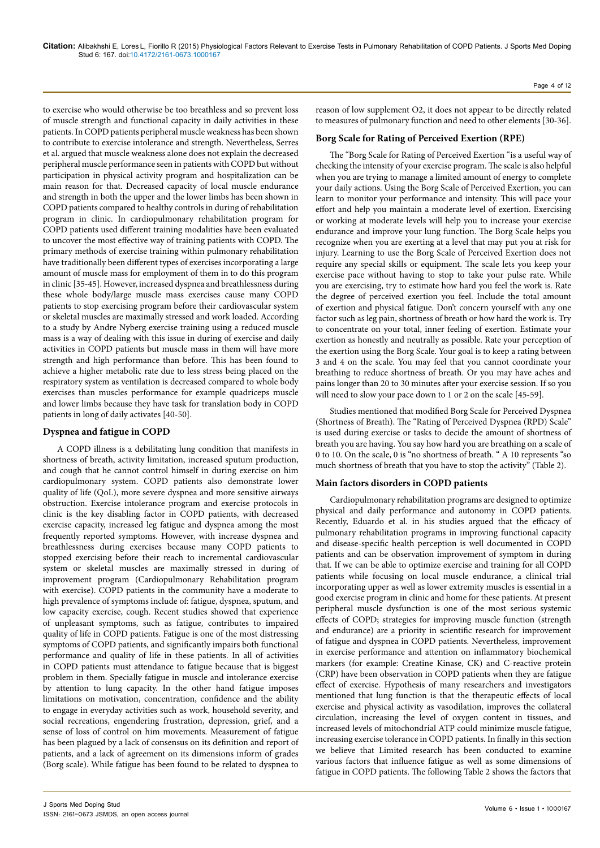to exercise who would otherwise be too breathless and so prevent loss of muscle strength and functional capacity in daily activities in these patients. In COPD patients peripheral muscle weakness has been shown to contribute to exercise intolerance and strength. Nevertheless, Serres et al. argued that muscle weakness alone does not explain the decreased peripheral muscle performance seen in patients with COPD but without participation in physical activity program and hospitalization can be main reason for that. Decreased capacity of local muscle endurance and strength in both the upper and the lower limbs has been shown in COPD patients compared to healthy controls in during of rehabilitation program in clinic. In cardiopulmonary rehabilitation program for COPD patients used different training modalities have been evaluated to uncover the most effective way of training patients with COPD. The primary methods of exercise training within pulmonary rehabilitation have traditionally been different types of exercises incorporating a large amount of muscle mass for employment of them in to do this program in clinic [35-45]. However, increased dyspnea and breathlessness during these whole body/large muscle mass exercises cause many COPD patients to stop exercising program before their cardiovascular system or skeletal muscles are maximally stressed and work loaded. According to a study by Andre Nyberg exercise training using a reduced muscle mass is a way of dealing with this issue in during of exercise and daily activities in COPD patients but muscle mass in them will have more strength and high performance than before. This has been found to achieve a higher metabolic rate due to less stress being placed on the respiratory system as ventilation is decreased compared to whole body exercises than muscles performance for example quadriceps muscle and lower limbs because they have task for translation body in COPD patients in long of daily activates [40-50].

# **Dyspnea and fatigue in COPD**

A COPD illness is a debilitating lung condition that manifests in shortness of breath, activity limitation, increased sputum production, and cough that he cannot control himself in during exercise on him cardiopulmonary system. COPD patients also demonstrate lower quality of life (QoL), more severe dyspnea and more sensitive airways obstruction. Exercise intolerance program and exercise protocols in clinic is the key disabling factor in COPD patients, with decreased exercise capacity, increased leg fatigue and dyspnea among the most frequently reported symptoms. However, with increase dyspnea and breathlessness during exercises because many COPD patients to stopped exercising before their reach to incremental cardiovascular system or skeletal muscles are maximally stressed in during of improvement program (Cardiopulmonary Rehabilitation program with exercise). COPD patients in the community have a moderate to high prevalence of symptoms include of: fatigue, dyspnea, sputum, and low capacity exercise, cough. Recent studies showed that experience of unpleasant symptoms, such as fatigue, contributes to impaired quality of life in COPD patients. Fatigue is one of the most distressing symptoms of COPD patients, and significantly impairs both functional performance and quality of life in these patients. In all of activities in COPD patients must attendance to fatigue because that is biggest problem in them. Specially fatigue in muscle and intolerance exercise by attention to lung capacity. In the other hand fatigue imposes limitations on motivation, concentration, confidence and the ability to engage in everyday activities such as work, household severity, and social recreations, engendering frustration, depression, grief, and a sense of loss of control on him movements. Measurement of fatigue has been plagued by a lack of consensus on its definition and report of patients, and a lack of agreement on its dimensions inform of grades (Borg scale). While fatigue has been found to be related to dyspnea to

Page 4 of 12

reason of low supplement O2, it does not appear to be directly related to measures of pulmonary function and need to other elements [30-36].

## **Borg Scale for Rating of Perceived Exertion (RPE)**

The "Borg Scale for Rating of Perceived Exertion "is a useful way of checking the intensity of your exercise program. The scale is also helpful when you are trying to manage a limited amount of energy to complete your daily actions. Using the Borg Scale of Perceived Exertion, you can learn to monitor your performance and intensity. This will pace your effort and help you maintain a moderate level of exertion. Exercising or working at moderate levels will help you to increase your exercise endurance and improve your lung function. The Borg Scale helps you recognize when you are exerting at a level that may put you at risk for injury. Learning to use the Borg Scale of Perceived Exertion does not require any special skills or equipment. The scale lets you keep your exercise pace without having to stop to take your pulse rate. While you are exercising, try to estimate how hard you feel the work is. Rate the degree of perceived exertion you feel. Include the total amount of exertion and physical fatigue. Don't concern yourself with any one factor such as leg pain, shortness of breath or how hard the work is. Try to concentrate on your total, inner feeling of exertion. Estimate your exertion as honestly and neutrally as possible. Rate your perception of the exertion using the Borg Scale. Your goal is to keep a rating between 3 and 4 on the scale. You may feel that you cannot coordinate your breathing to reduce shortness of breath. Or you may have aches and pains longer than 20 to 30 minutes after your exercise session. If so you will need to slow your pace down to 1 or 2 on the scale [45-59].

Studies mentioned that modified Borg Scale for Perceived Dyspnea (Shortness of Breath). The "Rating of Perceived Dyspnea (RPD) Scale" is used during exercise or tasks to decide the amount of shortness of breath you are having. You say how hard you are breathing on a scale of 0 to 10. On the scale, 0 is "no shortness of breath. " A 10 represents "so much shortness of breath that you have to stop the activity" (Table 2).

# **Main factors disorders in COPD patients**

Cardiopulmonary rehabilitation programs are designed to optimize physical and daily performance and autonomy in COPD patients. Recently, Eduardo et al. in his studies argued that the efficacy of pulmonary rehabilitation programs in improving functional capacity and disease-specific health perception is well documented in COPD patients and can be observation improvement of symptom in during that. If we can be able to optimize exercise and training for all COPD patients while focusing on local muscle endurance, a clinical trial incorporating upper as well as lower extremity muscles is essential in a good exercise program in clinic and home for these patients. At present peripheral muscle dysfunction is one of the most serious systemic effects of COPD; strategies for improving muscle function (strength and endurance) are a priority in scientific research for improvement of fatigue and dyspnea in COPD patients. Nevertheless, improvement in exercise performance and attention on inflammatory biochemical markers (for example: Creatine Kinase, CK) and C-reactive protein (CRP) have been observation in COPD patients when they are fatigue effect of exercise. Hypothesis of many researchers and investigators mentioned that lung function is that the therapeutic effects of local exercise and physical activity as vasodilation, improves the collateral circulation, increasing the level of oxygen content in tissues, and increased levels of mitochondrial ATP could minimize muscle fatigue, increasing exercise tolerance in COPD patients. In finally in this section we believe that Limited research has been conducted to examine various factors that influence fatigue as well as some dimensions of fatigue in COPD patients. The following Table 2 shows the factors that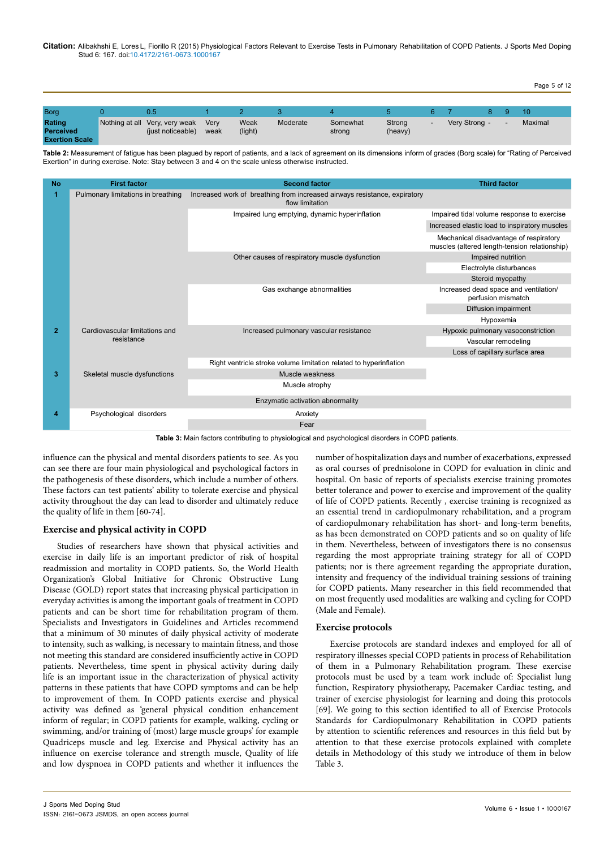**Citation:** Alibakhshi E, Lores L, Fiorillo R (2015) Physiological Factors Relevant to Exercise Tests in Pulmonary Rehabilitation of COPD Patients. J Sports Med Doping Stud 6: 167. doi:10.4172/2161-0673.1000167

| Page 5 of 12 |  |  |
|--------------|--|--|
|              |  |  |

| <b>Borg</b>                                         | U.5                                                 |              |                 |          |                    |                   |        |               |  |         |
|-----------------------------------------------------|-----------------------------------------------------|--------------|-----------------|----------|--------------------|-------------------|--------|---------------|--|---------|
| Rating<br><b>Perceived</b><br><b>Exertion Scale</b> | Nothing at all Very, very weak<br>(just noticeable) | Verv<br>weak | Weak<br>(light) | Moderate | Somewhat<br>strong | Strong<br>(heavy) | $\sim$ | Very Strong - |  | Maximal |

**Table 2:** Measurement of fatigue has been plagued by report of patients, and a lack of agreement on its dimensions inform of grades (Borg scale) for "Rating of Perceived Exertion" in during exercise. Note: Stay between 3 and 4 on the scale unless otherwise instructed.

| <b>No</b>      | <b>First factor</b>                | <b>Second factor</b>                                                                         | <b>Third factor</b>                                                                     |  |  |
|----------------|------------------------------------|----------------------------------------------------------------------------------------------|-----------------------------------------------------------------------------------------|--|--|
|                | Pulmonary limitations in breathing | Increased work of breathing from increased airways resistance, expiratory<br>flow limitation |                                                                                         |  |  |
|                |                                    | Impaired lung emptying, dynamic hyperinflation                                               | Impaired tidal volume response to exercise                                              |  |  |
|                |                                    |                                                                                              |                                                                                         |  |  |
|                |                                    |                                                                                              | Mechanical disadvantage of respiratory<br>muscles (altered length-tension relationship) |  |  |
|                |                                    | Other causes of respiratory muscle dysfunction                                               | Impaired nutrition                                                                      |  |  |
|                |                                    |                                                                                              |                                                                                         |  |  |
|                |                                    |                                                                                              | Steroid myopathy                                                                        |  |  |
|                |                                    | Gas exchange abnormalities                                                                   | Increased dead space and ventilation/<br>perfusion mismatch                             |  |  |
|                |                                    |                                                                                              | Diffusion impairment                                                                    |  |  |
|                |                                    |                                                                                              | Hypoxemia                                                                               |  |  |
| $\overline{2}$ | Cardiovascular limitations and     | Increased pulmonary vascular resistance                                                      | Hypoxic pulmonary vasoconstriction                                                      |  |  |
|                | resistance                         |                                                                                              | Vascular remodeling                                                                     |  |  |
|                |                                    |                                                                                              | Loss of capillary surface area                                                          |  |  |
|                |                                    | Right ventricle stroke volume limitation related to hyperinflation                           |                                                                                         |  |  |
| 3              | Skeletal muscle dysfunctions       | Muscle weakness                                                                              |                                                                                         |  |  |
|                |                                    | Muscle atrophy                                                                               |                                                                                         |  |  |
|                |                                    | Enzymatic activation abnormality                                                             |                                                                                         |  |  |
|                | Psychological disorders            | Anxiety                                                                                      |                                                                                         |  |  |
|                |                                    | Fear                                                                                         |                                                                                         |  |  |

**Table 3:** Main factors contributing to physiological and psychological disorders in COPD patients.

influence can the physical and mental disorders patients to see. As you can see there are four main physiological and psychological factors in the pathogenesis of these disorders, which include a number of others. These factors can test patients' ability to tolerate exercise and physical activity throughout the day can lead to disorder and ultimately reduce the quality of life in them [60-74].

# **Exercise and physical activity in COPD**

Studies of researchers have shown that physical activities and exercise in daily life is an important predictor of risk of hospital readmission and mortality in COPD patients. So, the World Health Organization's Global Initiative for Chronic Obstructive Lung Disease (GOLD) report states that increasing physical participation in everyday activities is among the important goals of treatment in COPD patients and can be short time for rehabilitation program of them. Specialists and Investigators in Guidelines and Articles recommend that a minimum of 30 minutes of daily physical activity of moderate to intensity, such as walking, is necessary to maintain fitness, and those not meeting this standard are considered insufficiently active in COPD patients. Nevertheless, time spent in physical activity during daily life is an important issue in the characterization of physical activity patterns in these patients that have COPD symptoms and can be help to improvement of them. In COPD patients exercise and physical activity was defined as 'general physical condition enhancement inform of regular; in COPD patients for example, walking, cycling or swimming, and/or training of (most) large muscle groups' for example Quadriceps muscle and leg. Exercise and Physical activity has an influence on exercise tolerance and strength muscle, Quality of life and low dyspnoea in COPD patients and whether it influences the

number of hospitalization days and number of exacerbations, expressed as oral courses of prednisolone in COPD for evaluation in clinic and hospital. On basic of reports of specialists exercise training promotes better tolerance and power to exercise and improvement of the quality of life of COPD patients. Recently , exercise training is recognized as an essential trend in cardiopulmonary rehabilitation, and a program of cardiopulmonary rehabilitation has short- and long-term benefits, as has been demonstrated on COPD patients and so on quality of life in them. Nevertheless, between of investigators there is no consensus regarding the most appropriate training strategy for all of COPD patients; nor is there agreement regarding the appropriate duration, intensity and frequency of the individual training sessions of training for COPD patients. Many researcher in this field recommended that on most frequently used modalities are walking and cycling for COPD (Male and Female).

# **Exercise protocols**

Exercise protocols are standard indexes and employed for all of respiratory illnesses special COPD patients in process of Rehabilitation of them in a Pulmonary Rehabilitation program. These exercise protocols must be used by a team work include of: Specialist lung function, Respiratory physiotherapy, Pacemaker Cardiac testing, and trainer of exercise physiologist for learning and doing this protocols [69]. We going to this section identified to all of Exercise Protocols Standards for Cardiopulmonary Rehabilitation in COPD patients by attention to scientific references and resources in this field but by attention to that these exercise protocols explained with complete details in Methodology of this study we introduce of them in below Table 3.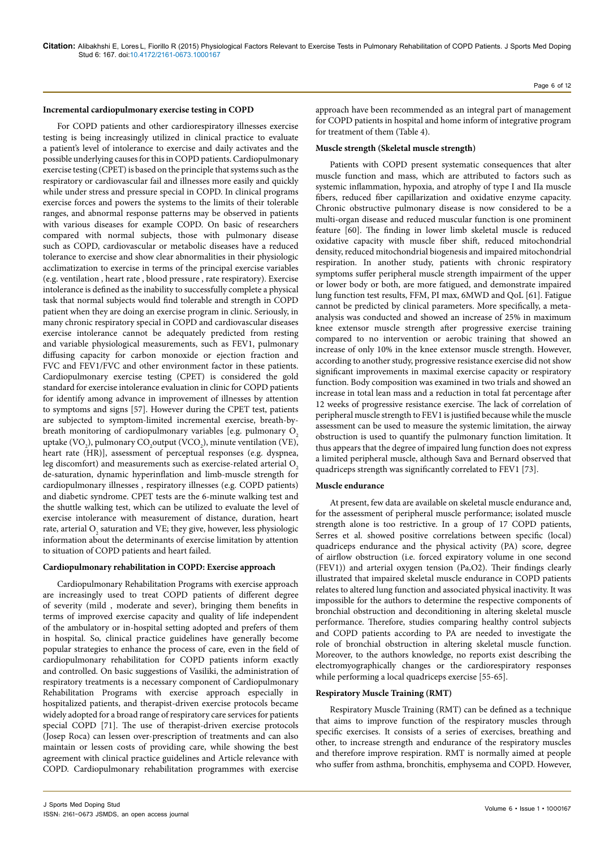#### **Incremental cardiopulmonary exercise testing in COPD**

For COPD patients and other cardiorespiratory illnesses exercise testing is being increasingly utilized in clinical practice to evaluate a patient's level of intolerance to exercise and daily activates and the possible underlying causes for this in COPD patients. Cardiopulmonary exercise testing (CPET) is based on the principle that systems such as the respiratory or cardiovascular fail and illnesses more easily and quickly while under stress and pressure special in COPD. In clinical programs exercise forces and powers the systems to the limits of their tolerable ranges, and abnormal response patterns may be observed in patients with various diseases for example COPD. On basic of researchers compared with normal subjects, those with pulmonary disease such as COPD, cardiovascular or metabolic diseases have a reduced tolerance to exercise and show clear abnormalities in their physiologic acclimatization to exercise in terms of the principal exercise variables (e.g. ventilation , heart rate , blood pressure , rate respiratory). Exercise intolerance is defined as the inability to successfully complete a physical task that normal subjects would find tolerable and strength in COPD patient when they are doing an exercise program in clinic. Seriously, in many chronic respiratory special in COPD and cardiovascular diseases exercise intolerance cannot be adequately predicted from resting and variable physiological measurements, such as FEV1, pulmonary diffusing capacity for carbon monoxide or ejection fraction and FVC and FEV1/FVC and other environment factor in these patients. Cardiopulmonary exercise testing (CPET) is considered the gold standard for exercise intolerance evaluation in clinic for COPD patients for identify among advance in improvement of illnesses by attention to symptoms and signs [57]. However during the CPET test, patients are subjected to symptom-limited incremental exercise, breath-bybreath monitoring of cardiopulmonary variables [e.g. pulmonary  $O<sub>2</sub>$ ] uptake (VO<sub>2</sub>), pulmonary CO<sub>2</sub>output (VCO<sub>2</sub>), minute ventilation (VE), heart rate (HR)], assessment of perceptual responses (e.g. dyspnea, leg discomfort) and measurements such as exercise-related arterial O<sub>2</sub> de-saturation, dynamic hyperinflation and limb-muscle strength for cardiopulmonary illnesses , respiratory illnesses (e.g. COPD patients) and diabetic syndrome. CPET tests are the 6-minute walking test and the shuttle walking test, which can be utilized to evaluate the level of exercise intolerance with measurement of distance, duration, heart rate, arterial  $\mathrm{O}_\mathrm{2}$  saturation and VE; they give, however, less physiologic information about the determinants of exercise limitation by attention to situation of COPD patients and heart failed.

#### **Cardiopulmonary rehabilitation in COPD: Exercise approach**

Cardiopulmonary Rehabilitation Programs with exercise approach are increasingly used to treat COPD patients of different degree of severity (mild , moderate and sever), bringing them benefits in terms of improved exercise capacity and quality of life independent of the ambulatory or in-hospital setting adopted and prefers of them in hospital. So, clinical practice guidelines have generally become popular strategies to enhance the process of care, even in the field of cardiopulmonary rehabilitation for COPD patients inform exactly and controlled. On basic suggestions of Vasiliki, the administration of respiratory treatments is a necessary component of Cardiopulmonary Rehabilitation Programs with exercise approach especially in hospitalized patients, and therapist-driven exercise protocols became widely adopted for a broad range of respiratory care services for patients special COPD [71]. The use of therapist-driven exercise protocols (Josep Roca) can lessen over-prescription of treatments and can also maintain or lessen costs of providing care, while showing the best agreement with clinical practice guidelines and Article relevance with COPD. Cardiopulmonary rehabilitation programmes with exercise

approach have been recommended as an integral part of management for COPD patients in hospital and home inform of integrative program for treatment of them (Table 4).

## **Muscle strength (Skeletal muscle strength)**

Patients with COPD present systematic consequences that alter muscle function and mass, which are attributed to factors such as systemic inflammation, hypoxia, and atrophy of type I and IIa muscle fibers, reduced fiber capillarization and oxidative enzyme capacity. Chronic obstructive pulmonary disease is now considered to be a multi-organ disease and reduced muscular function is one prominent feature [60]. The finding in lower limb skeletal muscle is reduced oxidative capacity with muscle fiber shift, reduced mitochondrial density, reduced mitochondrial biogenesis and impaired mitochondrial respiration. In another study, patients with chronic respiratory symptoms suffer peripheral muscle strength impairment of the upper or lower body or both, are more fatigued, and demonstrate impaired lung function test results, FFM, PI max, 6MWD and QoL [61]. Fatigue cannot be predicted by clinical parameters. More specifically, a metaanalysis was conducted and showed an increase of 25% in maximum knee extensor muscle strength after progressive exercise training compared to no intervention or aerobic training that showed an increase of only 10% in the knee extensor muscle strength. However, according to another study, progressive resistance exercise did not show significant improvements in maximal exercise capacity or respiratory function. Body composition was examined in two trials and showed an increase in total lean mass and a reduction in total fat percentage after 12 weeks of progressive resistance exercise. The lack of correlation of peripheral muscle strength to FEV1 is justified because while the muscle assessment can be used to measure the systemic limitation, the airway obstruction is used to quantify the pulmonary function limitation. It thus appears that the degree of impaired lung function does not express a limited peripheral muscle, although Sava and Bernard observed that quadriceps strength was significantly correlated to FEV1 [73].

#### **Muscle endurance**

At present, few data are available on skeletal muscle endurance and, for the assessment of peripheral muscle performance; isolated muscle strength alone is too restrictive. In a group of 17 COPD patients, Serres et al. showed positive correlations between specific (local) quadriceps endurance and the physical activity (PA) score, degree of airflow obstruction (i.e. forced expiratory volume in one second (FEV1)) and arterial oxygen tension (Pa,O2). Their findings clearly illustrated that impaired skeletal muscle endurance in COPD patients relates to altered lung function and associated physical inactivity. It was impossible for the authors to determine the respective components of bronchial obstruction and deconditioning in altering skeletal muscle performance. Therefore, studies comparing healthy control subjects and COPD patients according to PA are needed to investigate the role of bronchial obstruction in altering skeletal muscle function. Moreover, to the authors knowledge, no reports exist describing the electromyographically changes or the cardiorespiratory responses while performing a local quadriceps exercise [55-65].

## **Respiratory Muscle Training (RMT)**

Respiratory Muscle Training (RMT) can be defined as a technique that aims to improve function of the respiratory muscles through specific exercises. It consists of a series of exercises, breathing and other, to increase strength and endurance of the respiratory muscles and therefore improve respiration. RMT is normally aimed at people who suffer from asthma, bronchitis, emphysema and COPD. However,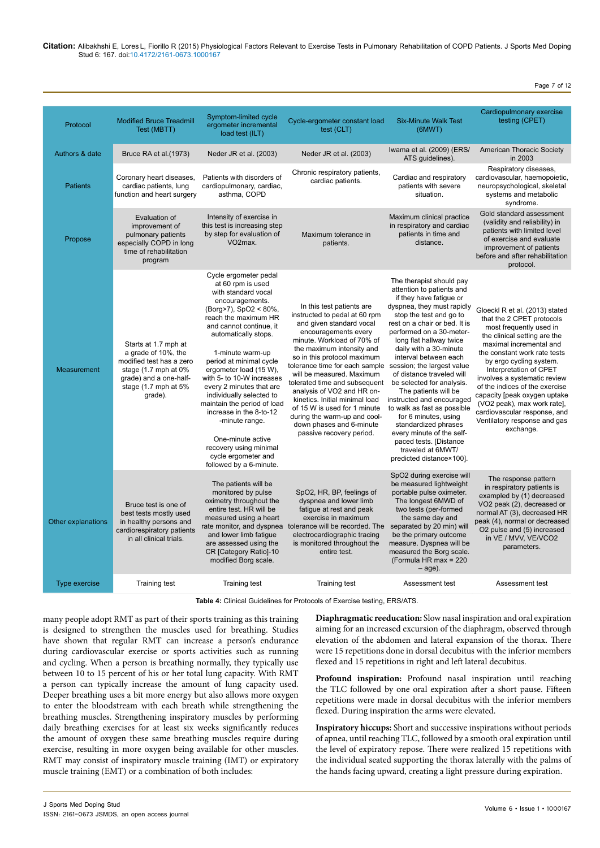**Citation:** Alibakhshi E, Lores L, Fiorillo R (2015) Physiological Factors Relevant to Exercise Tests in Pulmonary Rehabilitation of COPD Patients. J Sports Med Doping Stud 6: 167. doi:10.4172/2161-0673.1000167

| Page 7 | of 12 |  |
|--------|-------|--|
|        |       |  |

| Protocol             | <b>Modified Bruce Treadmill</b><br>Test (MBTT)                                                                                                               | Symptom-limited cycle<br>ergometer incremental<br>load test (ILT)                                                                                                                                                                                                                                                                                                                                                                                                                                                                   | Cycle-ergometer constant load<br>test (CLT)                                                                                                                                                                                                                                                                                                                                                                                                                                                                                 | <b>Six-Minute Walk Test</b><br>(6MWT)                                                                                                                                                                                                                                                                                                                                                                                                                                                                                                                                                      | Cardiopulmonary exercise<br>testing (CPET)                                                                                                                                                                                                                                                                                                                                                                                                           |
|----------------------|--------------------------------------------------------------------------------------------------------------------------------------------------------------|-------------------------------------------------------------------------------------------------------------------------------------------------------------------------------------------------------------------------------------------------------------------------------------------------------------------------------------------------------------------------------------------------------------------------------------------------------------------------------------------------------------------------------------|-----------------------------------------------------------------------------------------------------------------------------------------------------------------------------------------------------------------------------------------------------------------------------------------------------------------------------------------------------------------------------------------------------------------------------------------------------------------------------------------------------------------------------|--------------------------------------------------------------------------------------------------------------------------------------------------------------------------------------------------------------------------------------------------------------------------------------------------------------------------------------------------------------------------------------------------------------------------------------------------------------------------------------------------------------------------------------------------------------------------------------------|------------------------------------------------------------------------------------------------------------------------------------------------------------------------------------------------------------------------------------------------------------------------------------------------------------------------------------------------------------------------------------------------------------------------------------------------------|
| Authors & date       | Bruce RA et al.(1973)                                                                                                                                        | Neder JR et al. (2003)                                                                                                                                                                                                                                                                                                                                                                                                                                                                                                              | Neder JR et al. (2003)                                                                                                                                                                                                                                                                                                                                                                                                                                                                                                      | Iwama et al. (2009) (ERS/<br>ATS guidelines).                                                                                                                                                                                                                                                                                                                                                                                                                                                                                                                                              | American Thoracic Society<br>in 2003                                                                                                                                                                                                                                                                                                                                                                                                                 |
| <b>Patients</b>      | Coronary heart diseases,<br>cardiac patients, lung<br>function and heart surgery                                                                             | Patients with disorders of<br>cardiopulmonary, cardiac,<br>asthma, COPD                                                                                                                                                                                                                                                                                                                                                                                                                                                             | Chronic respiratory patients,<br>cardiac patients.                                                                                                                                                                                                                                                                                                                                                                                                                                                                          | Cardiac and respiratory<br>patients with severe<br>situation.                                                                                                                                                                                                                                                                                                                                                                                                                                                                                                                              | Respiratory diseases.<br>cardiovascular, haemopoietic,<br>neuropsychological, skeletal<br>systems and metabolic<br>syndrome.                                                                                                                                                                                                                                                                                                                         |
| Propose              | Evaluation of<br>improvement of<br>pulmonary patients<br>especially COPD in long<br>time of rehabilitation<br>program                                        | Intensity of exercise in<br>this test is increasing step<br>by step for evaluation of<br>VO <sub>2</sub> max.                                                                                                                                                                                                                                                                                                                                                                                                                       | Maximum tolerance in<br>patients.                                                                                                                                                                                                                                                                                                                                                                                                                                                                                           | Maximum clinical practice<br>in respiratory and cardiac<br>patients in time and<br>distance.                                                                                                                                                                                                                                                                                                                                                                                                                                                                                               | Gold standard assessment<br>(validity and reliability) in<br>patients with limited level<br>of exercise and evaluate<br>improvement of patients<br>before and after rehabilitation<br>protocol.                                                                                                                                                                                                                                                      |
| Measurement          | Starts at 1.7 mph at<br>a grade of 10%, the<br>modified test has a zero<br>stage (1.7 mph at 0%<br>grade) and a one-half-<br>stage (1.7 mph at 5%<br>grade). | Cycle ergometer pedal<br>at 60 rpm is used<br>with standard vocal<br>encouragements.<br>(Borg>7), SpO2 < 80%,<br>reach the maximum HR<br>and cannot continue, it<br>automatically stops.<br>1-minute warm-up<br>period at minimal cycle<br>ergometer load (15 W),<br>with 5- to 10-W increases<br>every 2 minutes that are<br>individually selected to<br>maintain the period of load<br>increase in the 8-to-12<br>-minute range.<br>One-minute active<br>recovery using minimal<br>cycle ergometer and<br>followed by a 6-minute. | In this test patients are<br>instructed to pedal at 60 rpm<br>and given standard vocal<br>encouragements every<br>minute. Workload of 70% of<br>the maximum intensity and<br>so in this protocol maximum<br>tolerance time for each sample session; the largest value<br>will be measured. Maximum<br>tolerated time and subsequent<br>analysis of VO2 and HR on-<br>kinetics. Initial minimal load<br>of 15 W is used for 1 minute<br>during the warm-up and cool-<br>down phases and 6-minute<br>passive recovery period. | The therapist should pay<br>attention to patients and<br>if they have fatique or<br>dyspnea, they must rapidly<br>stop the test and go to<br>rest on a chair or bed. It is<br>performed on a 30-meter-<br>long flat hallway twice<br>daily with a 30-minute<br>interval between each<br>of distance traveled will<br>be selected for analysis.<br>The patients will be<br>instructed and encouraged<br>to walk as fast as possible<br>for 6 minutes, using<br>standardized phrases<br>every minute of the self-<br>paced tests. [Distance<br>traveled at 6MWT/<br>predicted distance×100]. | Gloeckl R et al. (2013) stated<br>that the 2 CPET protocols<br>most frequently used in<br>the clinical setting are the<br>maximal incremental and<br>the constant work rate tests<br>by ergo cycling system.<br>Interpretation of CPET<br>involves a systematic review<br>of the indices of the exercise<br>capacity [peak oxygen uptake<br>(VO2 peak), max work rate],<br>cardiovascular response, and<br>Ventilatory response and gas<br>exchange. |
| Other explanations   | Bruce test is one of<br>best tests mostly used<br>in healthy persons and<br>cardiorespiratory patients<br>in all clinical trials.                            | The patients will be<br>monitored by pulse<br>oximetry throughout the<br>entire test. HR will be<br>measured using a heart<br>rate monitor, and dyspnea<br>and lower limb fatique<br>are assessed using the<br>CR [Category Ratio]-10<br>modified Borg scale.                                                                                                                                                                                                                                                                       | SpO2, HR, BP, feelings of<br>dyspnea and lower limb<br>fatigue at rest and peak<br>exercise in maximum<br>tolerance will be recorded. The<br>electrocardiographic tracing<br>is monitored throughout the<br>entire test.                                                                                                                                                                                                                                                                                                    | SpO2 during exercise will<br>be measured lightweight<br>portable pulse oximeter.<br>The longest 6MWD of<br>two tests (per-formed<br>the same day and<br>separated by 20 min) will<br>be the primary outcome<br>measure. Dyspnea will be<br>measured the Borg scale.<br>(Formula HR max = 220<br>$-$ age).                                                                                                                                                                                                                                                                                  | The response pattern<br>in respiratory patients is<br>exampled by (1) decreased<br>VO2 peak (2), decreased or<br>normal AT (3), decreased HR<br>peak (4), normal or decreased<br>O2 pulse and (5) increased<br>in VE / MVV, VE/VCO2<br>parameters.                                                                                                                                                                                                   |
| <b>Type exercise</b> | <b>Training test</b>                                                                                                                                         | <b>Training test</b>                                                                                                                                                                                                                                                                                                                                                                                                                                                                                                                | <b>Training test</b>                                                                                                                                                                                                                                                                                                                                                                                                                                                                                                        | Assessment test                                                                                                                                                                                                                                                                                                                                                                                                                                                                                                                                                                            | Assessment test                                                                                                                                                                                                                                                                                                                                                                                                                                      |
|                      |                                                                                                                                                              |                                                                                                                                                                                                                                                                                                                                                                                                                                                                                                                                     |                                                                                                                                                                                                                                                                                                                                                                                                                                                                                                                             |                                                                                                                                                                                                                                                                                                                                                                                                                                                                                                                                                                                            |                                                                                                                                                                                                                                                                                                                                                                                                                                                      |

**Table 4:** Clinical Guidelines for Protocols of Exercise testing, ERS/ATS.

many people adopt RMT as part of their sports training as this training is designed to strengthen the muscles used for breathing. Studies have shown that regular RMT can increase a person's endurance during cardiovascular exercise or sports activities such as running and cycling. When a person is breathing normally, they typically use between 10 to 15 percent of his or her total lung capacity. With RMT a person can typically increase the amount of lung capacity used. Deeper breathing uses a bit more energy but also allows more oxygen to enter the bloodstream with each breath while strengthening the breathing muscles. Strengthening inspiratory muscles by performing daily breathing exercises for at least six weeks significantly reduces the amount of oxygen these same breathing muscles require during exercise, resulting in more oxygen being available for other muscles. RMT may consist of inspiratory muscle training (IMT) or expiratory muscle training (EMT) or a combination of both includes:

**Diaphragmatic reeducation:** Slow nasal inspiration and oral expiration aiming for an increased excursion of the diaphragm, observed through elevation of the abdomen and lateral expansion of the thorax. There were 15 repetitions done in dorsal decubitus with the inferior members flexed and 15 repetitions in right and left lateral decubitus.

**Profound inspiration:** Profound nasal inspiration until reaching the TLC followed by one oral expiration after a short pause. Fifteen repetitions were made in dorsal decubitus with the inferior members flexed. During inspiration the arms were elevated.

**Inspiratory hiccups:** Short and successive inspirations without periods of apnea, until reaching TLC, followed by a smooth oral expiration until the level of expiratory repose. There were realized 15 repetitions with the individual seated supporting the thorax laterally with the palms of the hands facing upward, creating a light pressure during expiration.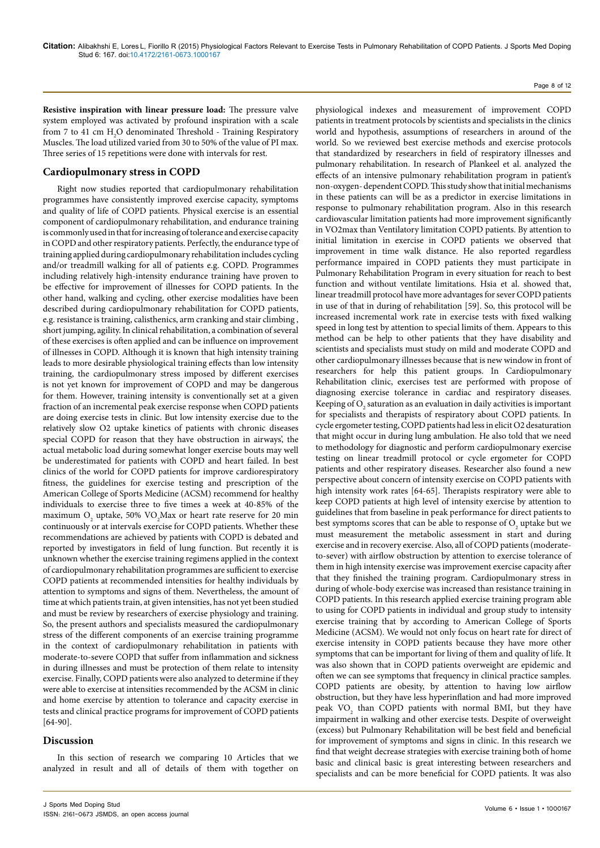Page 8 of 12

**Resistive inspiration with linear pressure load:** The pressure valve system employed was activated by profound inspiration with a scale from 7 to 41 cm  $H_2O$  denominated Threshold - Training Respiratory Muscles. The load utilized varied from 30 to 50% of the value of PI max. Three series of 15 repetitions were done with intervals for rest.

# **Cardiopulmonary stress in COPD**

Right now studies reported that cardiopulmonary rehabilitation programmes have consistently improved exercise capacity, symptoms and quality of life of COPD patients. Physical exercise is an essential component of cardiopulmonary rehabilitation, and endurance training is commonly used in that for increasing of tolerance and exercise capacity in COPD and other respiratory patients. Perfectly, the endurance type of training applied during cardiopulmonary rehabilitation includes cycling and/or treadmill walking for all of patients e.g. COPD. Programmes including relatively high-intensity endurance training have proven to be effective for improvement of illnesses for COPD patients. In the other hand, walking and cycling, other exercise modalities have been described during cardiopulmonary rehabilitation for COPD patients, e.g. resistance is training, calisthenics, arm cranking and stair climbing , short jumping, agility. In clinical rehabilitation, a combination of several of these exercises is often applied and can be influence on improvement of illnesses in COPD. Although it is known that high intensity training leads to more desirable physiological training effects than low intensity training, the cardiopulmonary stress imposed by different exercises is not yet known for improvement of COPD and may be dangerous for them. However, training intensity is conventionally set at a given fraction of an incremental peak exercise response when COPD patients are doing exercise tests in clinic. But low intensity exercise due to the relatively slow O2 uptake kinetics of patients with chronic diseases special COPD for reason that they have obstruction in airways', the actual metabolic load during somewhat longer exercise bouts may well be underestimated for patients with COPD and heart failed. In best clinics of the world for COPD patients for improve cardiorespiratory fitness, the guidelines for exercise testing and prescription of the American College of Sports Medicine (ACSM) recommend for healthy individuals to exercise three to five times a week at 40-85% of the maximum  $O_2$  uptake, 50%  $\rm VO_2Max$  or heart rate reserve for 20 min continuously or at intervals exercise for COPD patients. Whether these recommendations are achieved by patients with COPD is debated and reported by investigators in field of lung function. But recently it is unknown whether the exercise training regimens applied in the context of cardiopulmonary rehabilitation programmes are sufficient to exercise COPD patients at recommended intensities for healthy individuals by attention to symptoms and signs of them. Nevertheless, the amount of time at which patients train, at given intensities, has not yet been studied and must be review by researchers of exercise physiology and training. So, the present authors and specialists measured the cardiopulmonary stress of the different components of an exercise training programme in the context of cardiopulmonary rehabilitation in patients with moderate-to-severe COPD that suffer from inflammation and sickness in during illnesses and must be protection of them relate to intensity exercise. Finally, COPD patients were also analyzed to determine if they were able to exercise at intensities recommended by the ACSM in clinic and home exercise by attention to tolerance and capacity exercise in tests and clinical practice programs for improvement of COPD patients [64-90].

# **Discussion**

In this section of research we comparing 10 Articles that we analyzed in result and all of details of them with together on physiological indexes and measurement of improvement COPD patients in treatment protocols by scientists and specialists in the clinics world and hypothesis, assumptions of researchers in around of the world. So we reviewed best exercise methods and exercise protocols that standardized by researchers in field of respiratory illnesses and pulmonary rehabilitation. In research of Plankeel et al. analyzed the effects of an intensive pulmonary rehabilitation program in patient's non-oxygen- dependent COPD. This study show that initial mechanisms in these patients can will be as a predictor in exercise limitations in response to pulmonary rehabilitation program. Also in this research cardiovascular limitation patients had more improvement significantly in VO2max than Ventilatory limitation COPD patients. By attention to initial limitation in exercise in COPD patients we observed that improvement in time walk distance. He also reported regardless performance impaired in COPD patients they must participate in Pulmonary Rehabilitation Program in every situation for reach to best function and without ventilate limitations. Hsia et al. showed that, linear treadmill protocol have more advantages for sever COPD patients in use of that in during of rehabilitation [59]. So, this protocol will be increased incremental work rate in exercise tests with fixed walking speed in long test by attention to special limits of them. Appears to this method can be help to other patients that they have disability and scientists and specialists must study on mild and moderate COPD and other cardiopulmonary illnesses because that is new window in front of researchers for help this patient groups. In Cardiopulmonary Rehabilitation clinic, exercises test are performed with propose of diagnosing exercise tolerance in cardiac and respiratory diseases. Keeping of  $\mathrm{O}_\mathrm{2}$  saturation as an evaluation in daily activities is important for specialists and therapists of respiratory about COPD patients. In cycle ergometer testing, COPD patients had less in elicit O2 desaturation that might occur in during lung ambulation. He also told that we need to methodology for diagnostic and perform cardiopulmonary exercise testing on linear treadmill protocol or cycle ergometer for COPD patients and other respiratory diseases. Researcher also found a new perspective about concern of intensity exercise on COPD patients with high intensity work rates [64-65]. Therapists respiratory were able to keep COPD patients at high level of intensity exercise by attention to guidelines that from baseline in peak performance for direct patients to best symptoms scores that can be able to response of  $\mathrm{O}_2$  uptake but we must measurement the metabolic assessment in start and during exercise and in recovery exercise. Also, all of COPD patients (moderateto-sever) with airflow obstruction by attention to exercise tolerance of them in high intensity exercise was improvement exercise capacity after that they finished the training program. Cardiopulmonary stress in during of whole-body exercise was increased than resistance training in COPD patients. In this research applied exercise training program able to using for COPD patients in individual and group study to intensity exercise training that by according to American College of Sports Medicine (ACSM). We would not only focus on heart rate for direct of exercise intensity in COPD patients because they have more other symptoms that can be important for living of them and quality of life. It was also shown that in COPD patients overweight are epidemic and often we can see symptoms that frequency in clinical practice samples. COPD patients are obesity, by attention to having low airflow obstruction, but they have less hyperinflation and had more improved peak VO<sub>2</sub> than COPD patients with normal BMI, but they have impairment in walking and other exercise tests. Despite of overweight (excess) but Pulmonary Rehabilitation will be best field and beneficial for improvement of symptoms and signs in clinic. In this research we find that weight decrease strategies with exercise training both of home basic and clinical basic is great interesting between researchers and specialists and can be more beneficial for COPD patients. It was also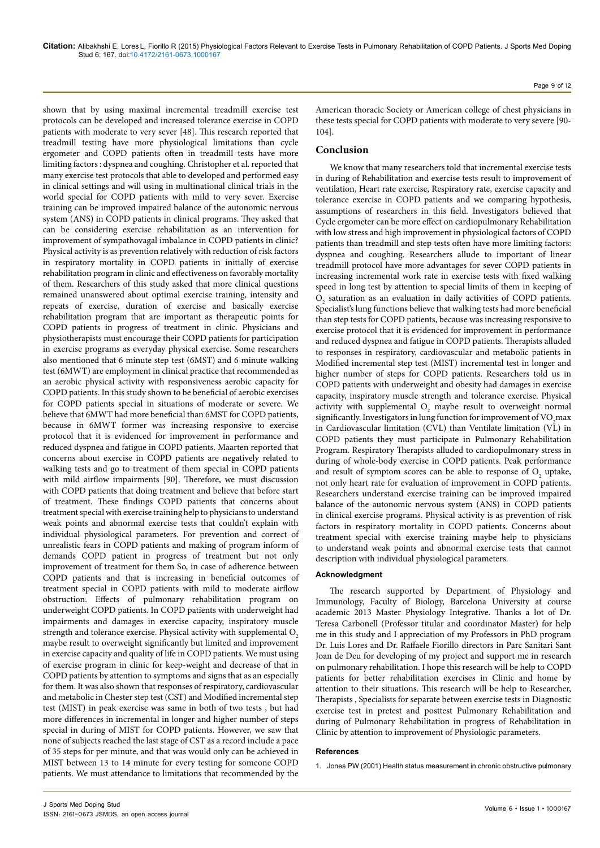shown that by using maximal incremental treadmill exercise test protocols can be developed and increased tolerance exercise in COPD patients with moderate to very sever [48]. This research reported that treadmill testing have more physiological limitations than cycle ergometer and COPD patients often in treadmill tests have more limiting factors : dyspnea and coughing. Christopher et al. reported that many exercise test protocols that able to developed and performed easy in clinical settings and will using in multinational clinical trials in the world special for COPD patients with mild to very sever. Exercise training can be improved impaired balance of the autonomic nervous system (ANS) in COPD patients in clinical programs. They asked that can be considering exercise rehabilitation as an intervention for improvement of sympathovagal imbalance in COPD patients in clinic? Physical activity is as prevention relatively with reduction of risk factors in respiratory mortality in COPD patients in initially of exercise rehabilitation program in clinic and effectiveness on favorably mortality of them. Researchers of this study asked that more clinical questions remained unanswered about optimal exercise training, intensity and repeats of exercise, duration of exercise and basically exercise rehabilitation program that are important as therapeutic points for COPD patients in progress of treatment in clinic. Physicians and physiotherapists must encourage their COPD patients for participation in exercise programs as everyday physical exercise. Some researchers also mentioned that 6 minute step test (6MST) and 6 minute walking test (6MWT) are employment in clinical practice that recommended as an aerobic physical activity with responsiveness aerobic capacity for COPD patients. In this study shown to be beneficial of aerobic exercises for COPD patients special in situations of moderate or severe. We believe that 6MWT had more beneficial than 6MST for COPD patients, because in 6MWT former was increasing responsive to exercise protocol that it is evidenced for improvement in performance and reduced dyspnea and fatigue in COPD patients. Maarten reported that concerns about exercise in COPD patients are negatively related to walking tests and go to treatment of them special in COPD patients with mild airflow impairments [90]. Therefore, we must discussion with COPD patients that doing treatment and believe that before start of treatment. These findings COPD patients that concerns about treatment special with exercise training help to physicians to understand weak points and abnormal exercise tests that couldn't explain with individual physiological parameters. For prevention and correct of unrealistic fears in COPD patients and making of program inform of demands COPD patient in progress of treatment but not only improvement of treatment for them So, in case of adherence between COPD patients and that is increasing in beneficial outcomes of treatment special in COPD patients with mild to moderate airflow obstruction. Effects of pulmonary rehabilitation program on underweight COPD patients. In COPD patients with underweight had impairments and damages in exercise capacity, inspiratory muscle strength and tolerance exercise. Physical activity with supplemental O<sub>2</sub> maybe result to overweight significantly but limited and improvement in exercise capacity and quality of life in COPD patients. We must using of exercise program in clinic for keep-weight and decrease of that in COPD patients by attention to symptoms and signs that as an especially for them. It was also shown that responses of respiratory, cardiovascular and metabolic in Chester step test (CST) and Modified incremental step test (MIST) in peak exercise was same in both of two tests , but had more differences in incremental in longer and higher number of steps special in during of MIST for COPD patients. However, we saw that none of subjects reached the last stage of CST as a record include a pace of 35 steps for per minute, and that was would only can be achieved in MIST between 13 to 14 minute for every testing for someone COPD patients. We must attendance to limitations that recommended by the

Page 9 of 12

American thoracic Society or American college of chest physicians in these tests special for COPD patients with moderate to very severe [90- 104].

# **Conclusion**

We know that many researchers told that incremental exercise tests in during of Rehabilitation and exercise tests result to improvement of ventilation, Heart rate exercise, Respiratory rate, exercise capacity and tolerance exercise in COPD patients and we comparing hypothesis, assumptions of researchers in this field. Investigators believed that Cycle ergometer can be more effect on cardiopulmonary Rehabilitation with low stress and high improvement in physiological factors of COPD patients than treadmill and step tests often have more limiting factors: dyspnea and coughing. Researchers allude to important of linear treadmill protocol have more advantages for sever COPD patients in increasing incremental work rate in exercise tests with fixed walking speed in long test by attention to special limits of them in keeping of  $O<sub>2</sub>$  saturation as an evaluation in daily activities of COPD patients. Specialist's lung functions believe that walking tests had more beneficial than step tests for COPD patients, because was increasing responsive to exercise protocol that it is evidenced for improvement in performance and reduced dyspnea and fatigue in COPD patients. Therapists alluded to responses in respiratory, cardiovascular and metabolic patients in Modified incremental step test (MIST) incremental test in longer and higher number of steps for COPD patients. Researchers told us in COPD patients with underweight and obesity had damages in exercise capacity, inspiratory muscle strength and tolerance exercise. Physical activity with supplemental  $O_2$  maybe result to overweight normal significantly. Investigators in lung function for improvement of  $\rm VO_{2}max$ in Cardiovascular limitation (CVL) than Ventilate limitation (VL) in COPD patients they must participate in Pulmonary Rehabilitation Program. Respiratory Therapists alluded to cardiopulmonary stress in during of whole-body exercise in COPD patients. Peak performance and result of symptom scores can be able to response of  $O_2$  uptake, not only heart rate for evaluation of improvement in COPD patients. Researchers understand exercise training can be improved impaired balance of the autonomic nervous system (ANS) in COPD patients in clinical exercise programs. Physical activity is as prevention of risk factors in respiratory mortality in COPD patients. Concerns about treatment special with exercise training maybe help to physicians to understand weak points and abnormal exercise tests that cannot description with individual physiological parameters.

#### **Acknowledgment**

The research supported by Department of Physiology and Immunology, Faculty of Biology, Barcelona University at course academic 2013 Master Physiology Integrative. Thanks a lot of Dr. Teresa Carbonell (Professor titular and coordinator Master) for help me in this study and I appreciation of my Professors in PhD program Dr. Luis Lores and Dr. Raffaele Fiorillo directors in Parc Sanitari Sant Joan de Deu for developing of my project and support me in research on pulmonary rehabilitation. I hope this research will be help to COPD patients for better rehabilitation exercises in Clinic and home by attention to their situations. This research will be help to Researcher, Therapists , Specialists for separate between exercise tests in Diagnostic exercise test in pretest and posttest Pulmonary Rehabilitation and during of Pulmonary Rehabilitation in progress of Rehabilitation in Clinic by attention to improvement of Physiologic parameters.

#### **References**

1. [Jones PW \(2001\) Health status measurement in chronic obstructive pulmonary](http://www.ncbi.nlm.nih.gov/pubmed/11641515)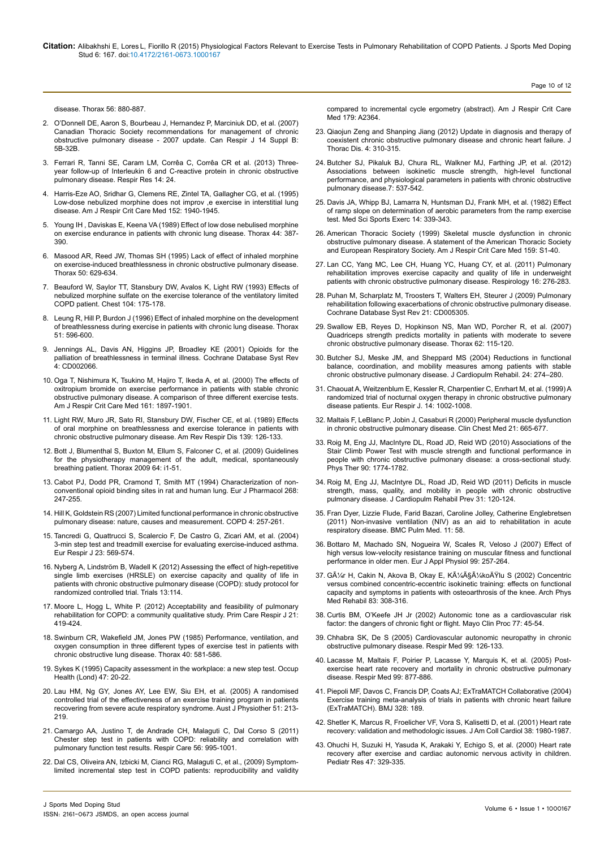Page 10 of 12

[disease. Thorax 56: 880-887.](http://www.ncbi.nlm.nih.gov/pubmed/11641515)

- 2. [O'Donnell DE, Aaron S, Bourbeau J, Hernandez P, Marciniuk DD, et al. \(2007\)](http://www.ncbi.nlm.nih.gov/pubmed/17885691) [Canadian Thoracic Society recommendations for management of chronic](http://www.ncbi.nlm.nih.gov/pubmed/17885691) [obstructive pulmonary disease - 2007 update. Can Respir J 14 Suppl B:](http://www.ncbi.nlm.nih.gov/pubmed/17885691) [5B-32B.](http://www.ncbi.nlm.nih.gov/pubmed/17885691)
- 3. [Ferrari R, Tanni SE, Caram LM, Corrêa C, Corrêa CR et al. \(2013\) Three](http://www.ncbi.nlm.nih.gov/pubmed/23425215)[year follow-up of Interleukin 6 and C-reactive protein in chronic obstructive](http://www.ncbi.nlm.nih.gov/pubmed/23425215) [pulmonary disease. Respir Res 14: 24.](http://www.ncbi.nlm.nih.gov/pubmed/23425215)
- 4. [Harris-Eze AO, Sridhar G, Clemens RE, Zintel TA, Gallagher CG, et al. \(1995\)](http://www.ncbi.nlm.nih.gov/pubmed/8520759) [Low-dose nebulized morphine does not improv ,e exercise in interstitial lung](http://www.ncbi.nlm.nih.gov/pubmed/8520759) [disease. Am J Respir Crit Care Med 152: 1940-1945.](http://www.ncbi.nlm.nih.gov/pubmed/8520759)
- 5. [Young IH , Daviskas E, Keena VA \(1989\) Effect of low dose nebulised morphine](http://www.ncbi.nlm.nih.gov/pubmed/2669222) [on exercise endurance in patients with chronic lung disease. Thorax 44: 387-](http://www.ncbi.nlm.nih.gov/pubmed/2669222) [390.](http://www.ncbi.nlm.nih.gov/pubmed/2669222)
- 6. [Masood AR, Reed JW, Thomas SH \(1995\) Lack of effect of inhaled morphine](http://www.ncbi.nlm.nih.gov/pubmed/7638804) [on exercise-induced breathlessness in chronic obstructive pulmonary disease.](http://www.ncbi.nlm.nih.gov/pubmed/7638804) [Thorax 50: 629-634.](http://www.ncbi.nlm.nih.gov/pubmed/7638804)
- 7. [Beauford W, Saylor TT, Stansbury DW, Avalos K, Light RW \(1993\) Effects of](http://www.ncbi.nlm.nih.gov/pubmed/8325064) [nebulized morphine sulfate on the exercise tolerance of the ventilatory limited](http://www.ncbi.nlm.nih.gov/pubmed/8325064) [COPD patient. Chest 104: 175-178.](http://www.ncbi.nlm.nih.gov/pubmed/8325064)
- 8. [Leung R, Hill P, Burdon J \(1996\) Effect of inhaled morphine on the development](http://www.ncbi.nlm.nih.gov/pubmed/8693440) [of breathlessness during exercise in patients with chronic lung disease. Thorax](http://www.ncbi.nlm.nih.gov/pubmed/8693440) [51: 596-600.](http://www.ncbi.nlm.nih.gov/pubmed/8693440)
- 9. [Jennings AL, Davis AN, Higgins JP, Broadley KE \(2001\) Opioids for the](http://www.ncbi.nlm.nih.gov/pubmed/11687137) [palliation of breathlessness in terminal illness. Cochrane Database Syst Rev](http://www.ncbi.nlm.nih.gov/pubmed/11687137) [4: CD002066.](http://www.ncbi.nlm.nih.gov/pubmed/11687137)
- 10. [Oga T, Nishimura K, Tsukino M, Hajiro T, Ikeda A, et al. \(2000\) The effects of](http://www.ncbi.nlm.nih.gov/pubmed/10852763) [oxitropium bromide on exercise performance in patients with stable chronic](http://www.ncbi.nlm.nih.gov/pubmed/10852763) [obstructive pulmonary disease. A comparison of three different exercise tests.](http://www.ncbi.nlm.nih.gov/pubmed/10852763) [Am J Respir Crit Care Med 161: 1897-1901.](http://www.ncbi.nlm.nih.gov/pubmed/10852763)
- 11. [Light RW, Muro JR, Sato RI, Stansbury DW, Fischer CE, et al. \(1989\) Effects](http://www.ncbi.nlm.nih.gov/pubmed/2492170) [of oral morphine on breathlessness and exercise tolerance in patients with](http://www.ncbi.nlm.nih.gov/pubmed/2492170) [chronic obstructive pulmonary disease. Am Rev Respir Dis 139: 126-133.](http://www.ncbi.nlm.nih.gov/pubmed/2492170)
- 12. [Bott J, Blumenthal S, Buxton M, Ellum S, Falconer C, et al. \(2009\) Guidelines](http://www.ncbi.nlm.nih.gov/pubmed/19406863) [for the physiotherapy management of the adult, medical, spontaneously](http://www.ncbi.nlm.nih.gov/pubmed/19406863) [breathing patient. Thorax 2009 64: i1-51.](http://www.ncbi.nlm.nih.gov/pubmed/19406863)
- 13. [Cabot PJ, Dodd PR, Cramond T, Smith MT \(1994\) Characterization of non](http://www.ncbi.nlm.nih.gov/pubmed/7957646)[conventional opioid binding sites in rat and human lung. Eur J Pharmacol 268:](http://www.ncbi.nlm.nih.gov/pubmed/7957646) [247-255.](http://www.ncbi.nlm.nih.gov/pubmed/7957646)
- 14. [Hill K, Goldstein RS \(2007\) Limited functional performance in chronic obstructive](http://www.ncbi.nlm.nih.gov/pubmed/17729070) [pulmonary disease: nature, causes and measurement. COPD 4: 257-261.](http://www.ncbi.nlm.nih.gov/pubmed/17729070)
- 15. [Tancredi G, Quattrucci S, Scalercio F, De Castro G, Zicari AM, et al. \(2004\)](http://www.ncbi.nlm.nih.gov/pubmed/15083756) [3-min step test and treadmill exercise for evaluating exercise-induced asthma.](http://www.ncbi.nlm.nih.gov/pubmed/15083756) [Eur Respir J 23: 569-574.](http://www.ncbi.nlm.nih.gov/pubmed/15083756)
- 16. [Nyberg A, Lindström B, Wadell K \(2012\) Assessing the effect of high-repetitive](http://www.ncbi.nlm.nih.gov/pubmed/22823966) [single limb exercises \(HRSLE\) on exercise capacity and quality of life in](http://www.ncbi.nlm.nih.gov/pubmed/22823966) [patients with chronic obstructive pulmonary disease \(COPD\): study protocol for](http://www.ncbi.nlm.nih.gov/pubmed/22823966) [randomized controlled trial. Trials 13:114.](http://www.ncbi.nlm.nih.gov/pubmed/22823966)
- 17. [Moore L, Hogg L, White P. \(2012\) Acceptability and feasibility of pulmonary](http://www.ncbi.nlm.nih.gov/pubmed/23135218) [rehabilitation for COPD: a community qualitative study. Prim Care Respir J 21:](http://www.ncbi.nlm.nih.gov/pubmed/23135218) [419-424.](http://www.ncbi.nlm.nih.gov/pubmed/23135218)
- 18. [Swinburn CR, Wakefield JM, Jones PW \(1985\) Performance, ventilation, and](http://www.ncbi.nlm.nih.gov/pubmed/4035628) [oxygen consumption in three different types of exercise test in patients with](http://www.ncbi.nlm.nih.gov/pubmed/4035628) [chronic obstructive lung disease. Thorax 40: 581-586.](http://www.ncbi.nlm.nih.gov/pubmed/4035628)
- 19. [Sykes K \(1995\) Capacity assessment in the workplace: a new step test. Occup](http://www.ncbi.nlm.nih.gov/pubmed/7885664) [Health \(Lond\) 47: 20-22.](http://www.ncbi.nlm.nih.gov/pubmed/7885664)
- 20. [Lau HM, Ng GY, Jones AY, Lee EW, Siu EH, et al. \(2005\) A randomised](http://www.ncbi.nlm.nih.gov/pubmed/16321128) [controlled trial of the effectiveness of an exercise training program in patients](http://www.ncbi.nlm.nih.gov/pubmed/16321128) [recovering from severe acute respiratory syndrome. Aust J Physiother 51: 213-](http://www.ncbi.nlm.nih.gov/pubmed/16321128) [219.](http://www.ncbi.nlm.nih.gov/pubmed/16321128)
- 21. [Camargo AA, Justino T, de Andrade CH, Malaguti C, Dal Corso S \(2011\)](http://www.ncbi.nlm.nih.gov/pubmed/21740727) [Chester step test in patients with COPD: reliability and correlation with](http://www.ncbi.nlm.nih.gov/pubmed/21740727) [pulmonary function test results. Respir Care 56: 995-1001.](http://www.ncbi.nlm.nih.gov/pubmed/21740727)
- 22. [Dal CS, Oliveira AN, Izbicki M, Cianci RG, Malaguti C, et al., \(2009\) Symptom](http://www.atsjournals.org/doi/abs/10.1164/ajrccm-conference.2009.179.1_MeetingAbstracts.A2364)[limited incremental step test in COPD patients: reproducibility and validity](http://www.atsjournals.org/doi/abs/10.1164/ajrccm-conference.2009.179.1_MeetingAbstracts.A2364)

[compared to incremental cycle ergometry \(abstract\). Am J Respir Crit Care](http://www.atsjournals.org/doi/abs/10.1164/ajrccm-conference.2009.179.1_MeetingAbstracts.A2364)  [Med 179: A2364.](http://www.atsjournals.org/doi/abs/10.1164/ajrccm-conference.2009.179.1_MeetingAbstracts.A2364)

- 23. [Qiaojun Zeng and Shanping Jiang \(2012\) Update in diagnosis and therapy of](http://www.ncbi.nlm.nih.gov/pmc/articles/PMC3378198/)  [coexistent chronic obstructive pulmonary disease and chronic heart failure. J](http://www.ncbi.nlm.nih.gov/pmc/articles/PMC3378198/)  [Thorac Dis. 4: 310-315.](http://www.ncbi.nlm.nih.gov/pmc/articles/PMC3378198/)
- 24. [Butcher SJ, Pikaluk BJ, Chura RL, Walkner MJ, Farthing JP, et al. \(2012\)](http://www.ncbi.nlm.nih.gov/pubmed/22973094)  [Associations between isokinetic muscle strength, high-level functional](http://www.ncbi.nlm.nih.gov/pubmed/22973094)  [performance, and physiological parameters in patients with chronic obstructive](http://www.ncbi.nlm.nih.gov/pubmed/22973094)  [pulmonary disease.7: 537-542.](http://www.ncbi.nlm.nih.gov/pubmed/22973094)
- 25. [Davis JA, Whipp BJ, Lamarra N, Huntsman DJ, Frank MH, et al. \(1982\) Effect](http://www.ncbi.nlm.nih.gov/pubmed/7154888)  [of ramp slope on determination of aerobic parameters from the ramp exercise](http://www.ncbi.nlm.nih.gov/pubmed/7154888)  [test. Med Sci Sports Exerc 14: 339-343.](http://www.ncbi.nlm.nih.gov/pubmed/7154888)
- 26. [American Thoracic Society \(1999\) Skeletal muscle dysfunction in chronic](http://www.ncbi.nlm.nih.gov/pubmed/10194189)  [obstructive pulmonary disease. A statement of the American Thoracic Society](http://www.ncbi.nlm.nih.gov/pubmed/10194189)  [and European Respiratory Society. Am J Respir Crit Care Med 159: S1-40.](http://www.ncbi.nlm.nih.gov/pubmed/10194189)
- 27. [Lan CC, Yang MC, Lee CH, Huang YC, Huang CY, et al. \(2011\) Pulmonary](http://www.ncbi.nlm.nih.gov/pubmed/21054672)  [rehabilitation improves exercise capacity and quality of life in underweight](http://www.ncbi.nlm.nih.gov/pubmed/21054672)  [patients with chronic obstructive pulmonary disease. Respirology 16: 276-283.](http://www.ncbi.nlm.nih.gov/pubmed/21054672)
- 28. [Puhan M, Scharplatz M, Troosters T, Walters EH, Steurer J \(2009\) Pulmonary](http://www.ncbi.nlm.nih.gov/pubmed/19160250)  [rehabilitation following exacerbations of chronic obstructive pulmonary disease.](http://www.ncbi.nlm.nih.gov/pubmed/19160250)  [Cochrane Database Syst Rev 21: CD005305.](http://www.ncbi.nlm.nih.gov/pubmed/19160250)
- 29. [Swallow EB, Reyes D, Hopkinson NS, Man WD, Porcher R, et al. \(2007\)](http://www.ncbi.nlm.nih.gov/pubmed/17090575)  [Quadriceps strength predicts mortality in patients with moderate to severe](http://www.ncbi.nlm.nih.gov/pubmed/17090575)  [chronic obstructive pulmonary disease. Thorax 62: 115-120.](http://www.ncbi.nlm.nih.gov/pubmed/17090575)
- 30. [Butcher SJ, Meske JM, and Sheppard MS \(2004\) Reductions in functional](http://www.ncbi.nlm.nih.gov/pubmed/15286536)  [balance, coordination, and mobility measures among patients with stable](http://www.ncbi.nlm.nih.gov/pubmed/15286536)  [chronic obstructive pulmonary disease. J Cardiopulm Rehabil. 24: 274–280.](http://www.ncbi.nlm.nih.gov/pubmed/15286536)
- 31. [Chaouat A, Weitzenblum E, Kessler R, Charpentier C, Enrhart M, et al. \(1999\) A](http://www.ncbi.nlm.nih.gov/pubmed/10596681)  [randomized trial of nocturnal oxygen therapy in chronic obstructive pulmonary](http://www.ncbi.nlm.nih.gov/pubmed/10596681)  [disease patients. Eur Respir J. 14: 1002-1008.](http://www.ncbi.nlm.nih.gov/pubmed/10596681)
- 32. [Maltais F, LeBlanc P, Jobin J, Casaburi R \(2000\) Peripheral muscle dysfunction](http://www.ncbi.nlm.nih.gov/pubmed/11194778)  [in chronic obstructive pulmonary disease. Clin Chest Med 21: 665-677.](http://www.ncbi.nlm.nih.gov/pubmed/11194778)
- 33. [Roig M, Eng JJ, MacIntyre DL, Road JD, Reid WD \(2010\) Associations of the](http://www.ncbi.nlm.nih.gov/pubmed/21030661)  [Stair Climb Power Test with muscle strength and functional performance in](http://www.ncbi.nlm.nih.gov/pubmed/21030661)  [people with chronic obstructive pulmonary disease: a cross-sectional study.](http://www.ncbi.nlm.nih.gov/pubmed/21030661)  [Phys Ther 90: 1774-1782.](http://www.ncbi.nlm.nih.gov/pubmed/21030661)
- 34. [Roig M, Eng JJ, MacIntyre DL, Road JD, Reid WD \(2011\) Deficits in muscle](http://www.ncbi.nlm.nih.gov/pubmed/21037481)  [strength, mass, quality, and mobility in people with chronic obstructive](http://www.ncbi.nlm.nih.gov/pubmed/21037481)  [pulmonary disease. J Cardiopulm Rehabil Prev 31: 120-124.](http://www.ncbi.nlm.nih.gov/pubmed/21037481)
- 35. [Fran Dyer, Lizzie Flude, Farid Bazari, Caroline Jolley, Catherine Englebretsen](http://www.biomedcentral.com/1471-2466/11/58)  [\(2011\) Non-invasive ventilation \(NIV\) as an aid to rehabilitation in acute](http://www.biomedcentral.com/1471-2466/11/58)  [respiratory disease. BMC Pulm Med. 11: 58.](http://www.biomedcentral.com/1471-2466/11/58)
- 36. [Bottaro M, Machado SN, Nogueira W, Scales R, Veloso J \(2007\) Effect of](http://www.ncbi.nlm.nih.gov/pubmed/17146693)  [high versus low-velocity resistance training on muscular fitness and functional](http://www.ncbi.nlm.nih.gov/pubmed/17146693)  [performance in older men. Eur J Appl Physiol 99: 257-264.](http://www.ncbi.nlm.nih.gov/pubmed/17146693)
- 37. Gür H, Cakin N, Akova B, Okay E, KüçükoÄŸlu S (2002) Concentric [versus combined concentric-eccentric isokinetic training: effects on functional](http://www.ncbi.nlm.nih.gov/pubmed/11887109)  [capacity and symptoms in patients with osteoarthrosis of the knee. Arch Phys](http://www.ncbi.nlm.nih.gov/pubmed/11887109)  [Med Rehabil 83: 308-316.](http://www.ncbi.nlm.nih.gov/pubmed/11887109)
- 38. [Curtis BM, O'Keefe JH Jr \(2002\) Autonomic tone as a cardiovascular risk](http://www.ncbi.nlm.nih.gov/pubmed/11794458)  [factor: the dangers of chronic fight or flight. Mayo Clin Proc 77: 45-54.](http://www.ncbi.nlm.nih.gov/pubmed/11794458)
- 39. [Chhabra SK, De S \(2005\) Cardiovascular autonomic neuropathy in chronic](http://www.ncbi.nlm.nih.gov/pubmed/15672861)  [obstructive pulmonary disease. Respir Med 99: 126-133.](http://www.ncbi.nlm.nih.gov/pubmed/15672861)
- 40. [Lacasse M, Maltais F, Poirier P, Lacasse Y, Marquis K, et al. \(2005\) Post](http://www.ncbi.nlm.nih.gov/pubmed/15939250)[exercise heart rate recovery and mortality in chronic obstructive pulmonary](http://www.ncbi.nlm.nih.gov/pubmed/15939250)  [disease. Respir Med 99: 877-886.](http://www.ncbi.nlm.nih.gov/pubmed/15939250)
- 41. [Piepoli MF, Davos C, Francis DP, Coats AJ; ExTraMATCH Collaborative \(2004\)](http://www.ncbi.nlm.nih.gov/pubmed/14729656)  [Exercise training meta-analysis of trials in patients with chronic heart failure](http://www.ncbi.nlm.nih.gov/pubmed/14729656)  [\(ExTraMATCH\). BMJ 328: 189.](http://www.ncbi.nlm.nih.gov/pubmed/14729656)
- 42. [Shetler K, Marcus R, Froelicher VF, Vora S, Kalisetti D, et al. \(2001\) Heart rate](http://www.ncbi.nlm.nih.gov/pubmed/11738304)  [recovery: validation and methodologic issues. J Am Coll Cardiol 38: 1980-1987.](http://www.ncbi.nlm.nih.gov/pubmed/11738304)
- 43. [Ohuchi H, Suzuki H, Yasuda K, Arakaki Y, Echigo S, et al. \(2000\) Heart rate](http://www.ncbi.nlm.nih.gov/pubmed/10709731)  [recovery after exercise and cardiac autonomic nervous activity in children.](http://www.ncbi.nlm.nih.gov/pubmed/10709731)  [Pediatr Res 47: 329-335.](http://www.ncbi.nlm.nih.gov/pubmed/10709731)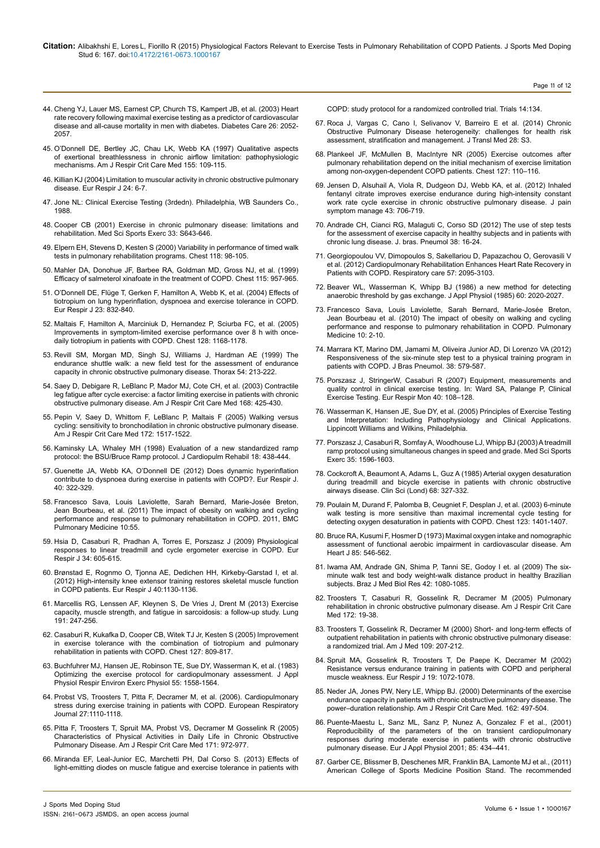- 44. [Cheng YJ, Lauer MS, Earnest CP, Church TS, Kampert JB, et al. \(2003\) Heart](http://www.ncbi.nlm.nih.gov/pubmed/12832312) [rate recovery following maximal exercise testing as a predictor of cardiovascular](http://www.ncbi.nlm.nih.gov/pubmed/12832312) [disease and all-cause mortality in men with diabetes. Diabetes Care 26: 2052-](http://www.ncbi.nlm.nih.gov/pubmed/12832312) [2057.](http://www.ncbi.nlm.nih.gov/pubmed/12832312)
- 45. [O'Donnell DE, Bertley JC, Chau LK, Webb KA \(1997\) Qualitative aspects](http://www.ncbi.nlm.nih.gov/pubmed/9001298) [of exertional breathlessness in chronic airflow limitation: pathophysiologic](http://www.ncbi.nlm.nih.gov/pubmed/9001298) [mechanisms. Am J Respir Crit Care Med 155: 109-115.](http://www.ncbi.nlm.nih.gov/pubmed/9001298)
- 46. [Killian KJ \(2004\) Limitation to muscular activity in chronic obstructive pulmonary](http://www.ncbi.nlm.nih.gov/pubmed/15293597) [disease. Eur Respir J 24: 6-7.](http://www.ncbi.nlm.nih.gov/pubmed/15293597)
- 47. Jone NL: Clinical Exercise Testing (3rdedn). Philadelphia, WB Saunders Co., 1988.
- 48. [Cooper CB \(2001\) Exercise in chronic pulmonary disease: limitations and](http://www.ncbi.nlm.nih.gov/pubmed/11462072) [rehabilitation. Med Sci Sports Exerc 33: S643-646.](http://www.ncbi.nlm.nih.gov/pubmed/11462072)
- 49. [Elpern EH, Stevens D, Kesten S \(2000\) Variability in performance of timed walk](http://www.ncbi.nlm.nih.gov/pubmed/10893366) [tests in pulmonary rehabilitation programs. Chest 118: 98-105.](http://www.ncbi.nlm.nih.gov/pubmed/10893366)
- 50. [Mahler DA, Donohue JF, Barbee RA, Goldman MD, Gross NJ, et al. \(1999\)](http://www.ncbi.nlm.nih.gov/pubmed/10208192) [Efficacy of salmeterol xinafoate in the treatment of COPD. Chest 115: 957-965.](http://www.ncbi.nlm.nih.gov/pubmed/10208192)
- 51. [O'Donnell DE, Flüge T, Gerken F, Hamilton A, Webb K, et al. \(2004\) Effects of](http://www.ncbi.nlm.nih.gov/pubmed/15218994) [tiotropium on lung hyperinflation, dyspnoea and exercise tolerance in COPD.](http://www.ncbi.nlm.nih.gov/pubmed/15218994) [Eur Respir J 23: 832-840.](http://www.ncbi.nlm.nih.gov/pubmed/15218994)
- 52. [Maltais F, Hamilton A, Marciniuk D, Hernandez P, Sciurba FC, et al. \(2005\)](http://www.ncbi.nlm.nih.gov/pubmed/16162703) [Improvements in symptom-limited exercise performance over 8 h with once](http://www.ncbi.nlm.nih.gov/pubmed/16162703)[daily tiotropium in patients with COPD. Chest 128: 1168-1178.](http://www.ncbi.nlm.nih.gov/pubmed/16162703)
- 53. [Revill SM, Morgan MD, Singh SJ, Williams J, Hardman AE \(1999\) The](http://www.ncbi.nlm.nih.gov/pubmed/10325896) [endurance shuttle walk: a new field test for the assessment of endurance](http://www.ncbi.nlm.nih.gov/pubmed/10325896) [capacity in chronic obstructive pulmonary disease. Thorax 54: 213-222.](http://www.ncbi.nlm.nih.gov/pubmed/10325896)
- 54. [Saey D, Debigare R, LeBlanc P, Mador MJ, Cote CH, et al. \(2003\) Contractile](http://www.ncbi.nlm.nih.gov/pubmed/12714348) [leg fatigue after cycle exercise: a factor limiting exercise in patients with chronic](http://www.ncbi.nlm.nih.gov/pubmed/12714348) [obstructive pulmonary disease. Am J Respir Crit Care Med 168: 425-430.](http://www.ncbi.nlm.nih.gov/pubmed/12714348)
- 55. [Pepin V, Saey D, Whittom F, LeBlanc P, Maltais F \(2005\) Walking versus](http://www.ncbi.nlm.nih.gov/pubmed/16166613) [cycling: sensitivity to bronchodilation in chronic obstructive pulmonary disease.](http://www.ncbi.nlm.nih.gov/pubmed/16166613) [Am J Respir Crit Care Med 172: 1517-1522.](http://www.ncbi.nlm.nih.gov/pubmed/16166613)
- 56. [Kaminsky LA, Whaley MH \(1998\) Evaluation of a new standardized ramp](http://www.ncbi.nlm.nih.gov/pubmed/9857276) [protocol: the BSU/Bruce Ramp protocol. J Cardiopulm Rehabil 18: 438-444.](http://www.ncbi.nlm.nih.gov/pubmed/9857276)
- 57. [Guenette JA, Webb KA, O'Donnell DE \(2012\) Does dynamic hyperinflation](http://www.ncbi.nlm.nih.gov/pubmed/22183485) [contribute to dyspnoea during exercise in patients with COPD?. Eur Respir J.](http://www.ncbi.nlm.nih.gov/pubmed/22183485) [40: 322-329.](http://www.ncbi.nlm.nih.gov/pubmed/22183485)
- 58. [Francesco Sava, Louis Laviolette, Sarah Bernard, Marie-Josée Breton,](http://www.biomedcentral.com/1471-2466/10/55) [Jean Bourbeau, et al. \(2011\) The impact of obesity on walking and cycling](http://www.biomedcentral.com/1471-2466/10/55) [performance and response to pulmonary rehabilitation in COPD. 2011, BMC](http://www.biomedcentral.com/1471-2466/10/55) [Pulmonary Medicine 10:55.](http://www.biomedcentral.com/1471-2466/10/55)
- 59. [Hsia D, Casaburi R, Pradhan A, Torres E, Porszasz J \(2009\) Physiological](http://www.ncbi.nlm.nih.gov/pubmed/19282347) [responses to linear treadmill and cycle ergometer exercise in COPD. Eur](http://www.ncbi.nlm.nih.gov/pubmed/19282347) [Respir J 34: 605-615.](http://www.ncbi.nlm.nih.gov/pubmed/19282347)
- 60. [Brønstad E, Rognmo O, Tjonna AE, Dedichen HH, Kirkeby-Garstad I, et al.](http://www.ncbi.nlm.nih.gov/pubmed/22408206) [\(2012\) High-intensity knee extensor training restores skeletal muscle function](http://www.ncbi.nlm.nih.gov/pubmed/22408206) [in COPD patients. Eur Respir J 40:1130-1136.](http://www.ncbi.nlm.nih.gov/pubmed/22408206)
- 61. [Marcellis RG, Lenssen AF, Kleynen S, De Vries J, Drent M \(2013\) Exercise](http://www.ncbi.nlm.nih.gov/pubmed/23558599) [capacity, muscle strength, and fatigue in sarcoidosis: a follow-up study. Lung](http://www.ncbi.nlm.nih.gov/pubmed/23558599) [191: 247-256.](http://www.ncbi.nlm.nih.gov/pubmed/23558599)
- 62. [Casaburi R, Kukafka D, Cooper CB, Witek TJ Jr, Kesten S \(2005\) Improvement](http://www.ncbi.nlm.nih.gov/pubmed/15764761) [in exercise tolerance with the combination of tiotropium and pulmonary](http://www.ncbi.nlm.nih.gov/pubmed/15764761) [rehabilitation in patients with COPD. Chest 127: 809-817.](http://www.ncbi.nlm.nih.gov/pubmed/15764761)
- 63. [Buchfuhrer MJ, Hansen JE, Robinson TE, Sue DY, Wasserman K, et al. \(1983\)](http://www.ncbi.nlm.nih.gov/pubmed/6643191) [Optimizing the exercise protocol for cardiopulmonary assessment. J Appl](http://www.ncbi.nlm.nih.gov/pubmed/6643191) [Physiol Respir Environ Exerc Physiol 55: 1558-1564.](http://www.ncbi.nlm.nih.gov/pubmed/6643191)
- 64. [Probst VS, Troosters T, Pitta F, Decramer M, et al. \(2006\). Cardiopulmonary](http://www.ncbi.nlm.nih.gov/pubmed/16540501) [stress during exercise training in patients with COPD. European Respiratory](http://www.ncbi.nlm.nih.gov/pubmed/16540501) [Journal 27:1110-1118.](http://www.ncbi.nlm.nih.gov/pubmed/16540501)
- 65. [Pitta F, Troosters T, Spruit MA, Probst VS, Decramer M Gosselink R \(2005\)](http://www.ncbi.nlm.nih.gov/pubmed/15665324) [Characteristics of Physical Activities in Daily Life in Chronic Obstructive](http://www.ncbi.nlm.nih.gov/pubmed/15665324) [Pulmonary Disease. Am J Respir Crit Care Med 171: 972-977.](http://www.ncbi.nlm.nih.gov/pubmed/15665324)
- 66. [Miranda EF, Leal-Junior EC, Marchetti PH, Dal Corso S. \(2013\) Effects of](http://www.ncbi.nlm.nih.gov/pubmed/23663518) [light-emitting diodes on muscle fatigue and exercise tolerance in patients with](http://www.ncbi.nlm.nih.gov/pubmed/23663518)

[COPD: study protocol for a randomized controlled trial. Trials 14:134.](http://www.ncbi.nlm.nih.gov/pubmed/23663518)

67. [Roca J, Vargas C, Cano I, Selivanov V, Barreiro E et al. \(2014\) Chronic](http://www.ncbi.nlm.nih.gov/pubmed/25472887)  [Obstructive Pulmonary Disease heterogeneity: challenges for health risk](http://www.ncbi.nlm.nih.gov/pubmed/25472887)  [assessment, stratification and management. J Transl Med 28: S3.](http://www.ncbi.nlm.nih.gov/pubmed/25472887)

Page 11 of 12

- 68. [Plankeel JF, McMullen B, MacIntyre NR \(2005\) Exercise outcomes after](http://www.ncbi.nlm.nih.gov/pubmed/15653970)  [pulmonary rehabilitation depend on the initial mechanism of exercise limitation](http://www.ncbi.nlm.nih.gov/pubmed/15653970)  [among non-oxygen-dependent COPD patients. Chest 127: 110–116.](http://www.ncbi.nlm.nih.gov/pubmed/15653970)
- 69. [Jensen D, Alsuhail A, Viola R, Dudgeon DJ, Webb KA, et al. \(2012\) Inhaled](http://www.ncbi.nlm.nih.gov/pubmed/22168961)  [fentanyl citrate improves exercise endurance during high-intensity constant](http://www.ncbi.nlm.nih.gov/pubmed/22168961)  [work rate cycle exercise in chronic obstructive pulmonary disease. J pain](http://www.ncbi.nlm.nih.gov/pubmed/22168961)  [symptom manage 43: 706-719.](http://www.ncbi.nlm.nih.gov/pubmed/22168961)
- 70. [Andrade CH, Cianci RG, Malaguti C, Corso SD \(2012\) The use of step tests](http://www.ncbi.nlm.nih.gov/pubmed/22407048)  [for the assessment of exercise capacity in healthy subjects and in patients with](http://www.ncbi.nlm.nih.gov/pubmed/22407048)  [chronic lung disease. J. bras. Pneumol 38: 16-24.](http://www.ncbi.nlm.nih.gov/pubmed/22407048)
- 71. [Georgiopoulou VV, Dimopoulos S, Sakellariou D, Papazachou O, Gerovasili V](http://www.ncbi.nlm.nih.gov/pubmed/22710548)  [et al. \(2012\) Cardiopulmonary Rehabilitation Enhances Heart Rate Recovery in](http://www.ncbi.nlm.nih.gov/pubmed/22710548)  [Patients with COPD. Respiratory care 57: 2095-3103.](http://www.ncbi.nlm.nih.gov/pubmed/22710548)
- 72. [Beaver WL, Wasserman K, Whipp BJ \(1986\) a new method for detecting](http://www.ncbi.nlm.nih.gov/pubmed/3087938)  [anaerobic threshold by gas exchange. J Appl Physiol \(1985\) 60: 2020-2027.](http://www.ncbi.nlm.nih.gov/pubmed/3087938)
- 73. [Francesco Sava, Louis Laviolette, Sarah Bernard, Marie-Josée Breton,](http://www.biomedcentral.com/1471-2466/10/55)  [Jean Bourbeau et al. \(2010\) The impact of obesity on walking and cycling](http://www.biomedcentral.com/1471-2466/10/55)  [performance and response to pulmonary rehabilitation in COPD. Pulmonary](http://www.biomedcentral.com/1471-2466/10/55)  [Medicine 10: 2-10.](http://www.biomedcentral.com/1471-2466/10/55)
- 74. [Marrara KT, Marino DM, Jamami M, Oliveira Junior AD, Di Lorenzo VA \(2012\)](http://www.ncbi.nlm.nih.gov/pubmed/23147050)  [Responsiveness of the six-minute step test to a physical training program in](http://www.ncbi.nlm.nih.gov/pubmed/23147050)  [patients with COPD. J Bras Pneumol. 38: 579-587.](http://www.ncbi.nlm.nih.gov/pubmed/23147050)
- 75. [Porszasz J, StringerW, Casaburi R \(2007\) Equipment, measurements and](http://www.ers-education.org/publications/ers-monograph/archive/clinical-exercise-testing.aspx)  [quality control in clinical exercise testing. In: Ward SA, Palange P, Clinical](http://www.ers-education.org/publications/ers-monograph/archive/clinical-exercise-testing.aspx)  [Exercise Testing. Eur Respir Mon 40: 108–128.](http://www.ers-education.org/publications/ers-monograph/archive/clinical-exercise-testing.aspx)
- 76. [Wasserman K, Hansen JE, Sue DY, et al. \(2005\) Principles of Exercise Testing](https://books.google.co.in/books/about/Principles_of_Exercise_Testing_and_Inter.html?id=y_pfyYtYKmwC)  [and Interpretation: Including Pathophysiology and Clinical Applications.](https://books.google.co.in/books/about/Principles_of_Exercise_Testing_and_Inter.html?id=y_pfyYtYKmwC)  [Lippincott Williams and Wilkins, Philadelphia.](https://books.google.co.in/books/about/Principles_of_Exercise_Testing_and_Inter.html?id=y_pfyYtYKmwC)
- 77. [Porszasz J, Casaburi R, Somfay A, Woodhouse LJ, Whipp BJ \(2003\) A treadmill](http://www.ncbi.nlm.nih.gov/pubmed/12972882)  [ramp protocol using simultaneous changes in speed and grade. Med Sci Sports](http://www.ncbi.nlm.nih.gov/pubmed/12972882)  [Exerc 35: 1596-1603.](http://www.ncbi.nlm.nih.gov/pubmed/12972882)
- 78. [Cockcroft A, Beaumont A, Adams L, Guz A \(1985\) Arterial oxygen desaturation](http://www.ncbi.nlm.nih.gov/pubmed/3918826)  [during treadmill and bicycle exercise in patients with chronic obstructive](http://www.ncbi.nlm.nih.gov/pubmed/3918826)  [airways disease. Clin Sci \(Lond\) 68: 327-332.](http://www.ncbi.nlm.nih.gov/pubmed/3918826)
- 79. [Poulain M, Durand F, Palomba B, Ceugniet F, Desplan J, et al. \(2003\) 6-minute](http://www.ncbi.nlm.nih.gov/pubmed/12740254)  [walk testing is more sensitive than maximal incremental cycle testing for](http://www.ncbi.nlm.nih.gov/pubmed/12740254)  [detecting oxygen desaturation in patients with COPD. Chest 123: 1401-1407.](http://www.ncbi.nlm.nih.gov/pubmed/12740254)
- 80. [Bruce RA, Kusumi F, Hosmer D \(1973\) Maximal oxygen intake and nomographic](http://www.ncbi.nlm.nih.gov/pubmed/4632004)  [assessment of functional aerobic impairment in cardiovascular disease. Am](http://www.ncbi.nlm.nih.gov/pubmed/4632004)  [Heart J 85: 546-562.](http://www.ncbi.nlm.nih.gov/pubmed/4632004)
- 81. [Iwama AM, Andrade GN, Shima P, Tanni SE, Godoy I et. al \(2009\) The six](http://www.ncbi.nlm.nih.gov/pubmed/19802464)[minute walk test and body weight-walk distance product in healthy Brazilian](http://www.ncbi.nlm.nih.gov/pubmed/19802464)  [subjects. Braz J Med Biol Res 42: 1080-1085.](http://www.ncbi.nlm.nih.gov/pubmed/19802464)
- 82. [Troosters T, Casaburi R, Gosselink R, Decramer M \(2005\) Pulmonary](http://www.ncbi.nlm.nih.gov/pubmed/15778487)  [rehabilitation in chronic obstructive pulmonary disease. Am J Respir Crit Care](http://www.ncbi.nlm.nih.gov/pubmed/15778487)  [Med 172: 19-38.](http://www.ncbi.nlm.nih.gov/pubmed/15778487)
- 83. [Troosters T, Gosselink R, Decramer M \(2000\) Short- and long-term effects of](http://www.ncbi.nlm.nih.gov/pubmed/10974183)  [outpatient rehabilitation in patients with chronic obstructive pulmonary disease:](http://www.ncbi.nlm.nih.gov/pubmed/10974183)  [a randomized trial. Am J Med 109: 207-212.](http://www.ncbi.nlm.nih.gov/pubmed/10974183)
- 84. [Spruit MA, Gosselink R, Troosters T, De Paepe K, Decramer M \(2002\)](http://www.ncbi.nlm.nih.gov/pubmed/12108859)  [Resistance versus endurance training in patients with COPD and peripheral](http://www.ncbi.nlm.nih.gov/pubmed/12108859)  [muscle weakness. Eur Respir J 19: 1072-1078.](http://www.ncbi.nlm.nih.gov/pubmed/12108859)
- 85. [Neder JA, Jones PW, Nery LE, Whipp BJ. \(2000\) Determinants of the exercise](http://www.ncbi.nlm.nih.gov/pubmed/10934077)  [endurance capacity in patients with chronic obstructive pulmonary disease. The](http://www.ncbi.nlm.nih.gov/pubmed/10934077)  [power–duration relationship. Am J Respir Crit Care Med. 162: 497-504.](http://www.ncbi.nlm.nih.gov/pubmed/10934077)
- 86. [Puente-Maestu L, Sanz ML, Sanz P, Nunez A, Gonzalez F et al., \(2001\)](http://www.ncbi.nlm.nih.gov/pubmed/11606012)  [Reproducibility of the parameters of the on transient cardiopulmonary](http://www.ncbi.nlm.nih.gov/pubmed/11606012)  [responses during moderate exercise in patients with chronic obstructive](http://www.ncbi.nlm.nih.gov/pubmed/11606012)  [pulmonary disease. Eur J Appl Physiol 2001; 85: 434–441.](http://www.ncbi.nlm.nih.gov/pubmed/11606012)
- 87. Garber CE, Blissmer B, Deschenes MR, Franklin BA, Lamonte MJ et al. (2011) [American College of Sports Medicine Position Stand. The recommended](http://www.ncbi.nlm.nih.gov/pubmed/21694556)